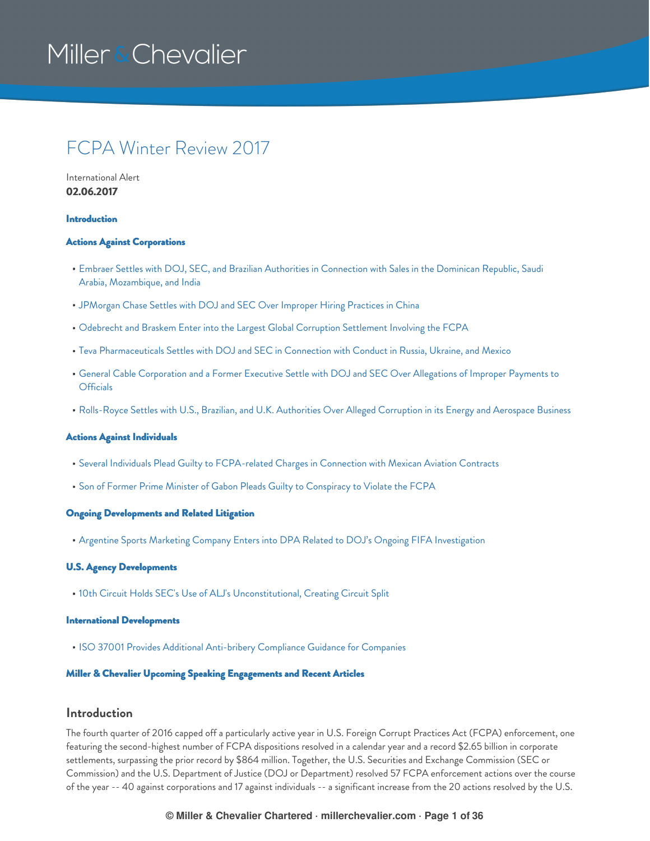### FCPA Winter Review 2017

International Alert **02.06.2017**

#### [Introduction](#page-0-0)

### Actions Against [Corporations](#page-13-0)

- Embraer Settles with DOJ, SEC, and Brazilian Authorities in Connection with Sales in the Dominican Republic, Saudi Arabia, [Mozambique,](#page-13-1) and India
- [JPMorgan](#page-17-0) Chase Settles with DOJ and SEC Over Improper Hiring Practices in China
- Odebrecht and Braskem Enter into the Largest Global Corruption [Settlement](#page-20-0) Involving the FCPA
- Teva [Pharmaceuticals](#page-23-0) Settles with DOJ and SEC in Connection with Conduct in Russia, Ukraine, and Mexico
- General Cable [Corporation](#page-25-0) and a Former Executive Settle with DOJ and SEC Over Allegations of Improper Payments to **Officials**
- [Rolls-Royce](#page-27-0) Settles with U.S., Brazilian, and U.K. Authorities Over Alleged Corruption in its Energy and Aerospace Business

#### Actions Against [Individuals](#page-31-0)

- **Several Individuals Plead Guilty to [FCPA-related](#page-31-1) Charges in Connection with Mexican Aviation Contracts**
- Son of Former Prime Minister of Gabon Pleads Guilty to [Conspiracy](#page-31-2) to Violate the FCPA

#### Ongoing [Developments](#page-32-0) and Related Litigation

Argentine Sports Marketing Company Enters into DPA Related to DOJ's Ongoing FIFA [Investigation](#page-32-1)

### U.S. Agency [Developments](#page-33-0)

10th Circuit Holds SEC's Use of ALJ's [Unconstitutional,](#page-33-1) Creating Circuit Split

### International [Developments](#page-33-2)

• ISO 37001 Provides Additional [Anti-bribery](#page-33-3) Compliance Guidance for Companies

### Miller & Chevalier Upcoming Speaking [Engagements](#page-34-0) and Recent Articles

### <span id="page-0-0"></span>**Introduction**

The fourth quarter of 2016 capped off a particularly active year in U.S. Foreign Corrupt Practices Act (FCPA) enforcement, one featuring the second-highest number of FCPA dispositions resolved in a calendar year and a record \$2.65 billion in corporate settlements, surpassing the prior record by \$864 million. Together, the U.S. Securities and Exchange Commission (SEC or Commission) and the U.S. Department of Justice (DOJ or Department) resolved 57 FCPA enforcement actions over the course of the year -- 40 against corporations and 17 against individuals -- a significant increase from the 20 actions resolved by the U.S.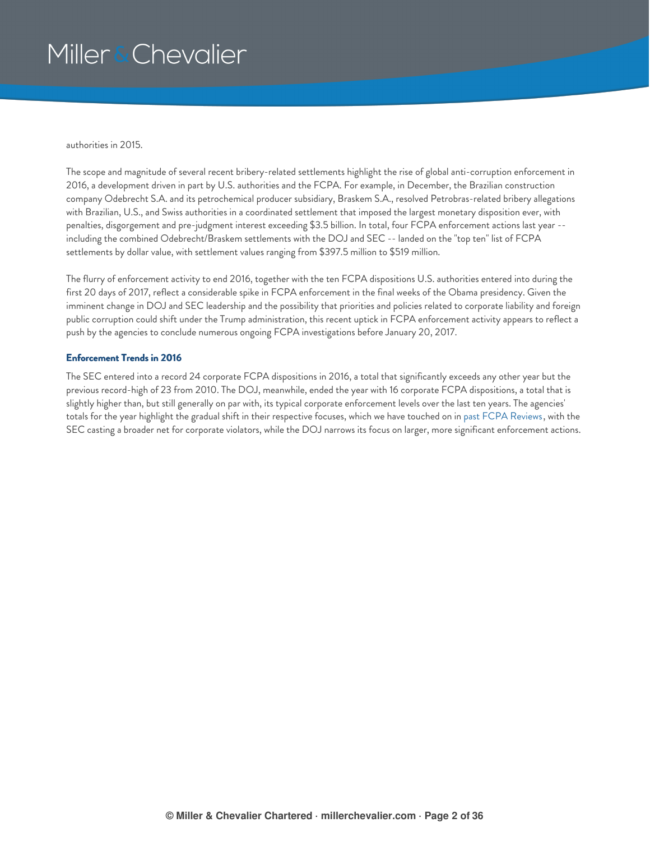authorities in 2015.

The scope and magnitude of several recent bribery-related settlements highlight the rise of global anti-corruption enforcement in 2016, a development driven in part by U.S. authorities and the FCPA. For example, in December, the Brazilian construction company Odebrecht S.A. and its petrochemical producer subsidiary, Braskem S.A., resolved Petrobras-related bribery allegations with Brazilian, U.S., and Swiss authorities in a coordinated settlement that imposed the largest monetary disposition ever, with penalties, disgorgement and pre-judgment interest exceeding \$3.5 billion. In total, four FCPA enforcement actions last year - including the combined Odebrecht/Braskem settlements with the DOJ and SEC -- landed on the "top ten" list of FCPA settlements by dollar value, with settlement values ranging from \$397.5 million to \$519 million.

The flurry of enforcement activity to end 2016, together with the ten FCPA dispositions U.S. authorities entered into during the first 20 days of 2017, reflect a considerable spike in FCPA enforcement in the final weeks of the Obama presidency. Given the imminent change in DOJ and SEC leadership and the possibility that priorities and policies related to corporate liability and foreign public corruption could shift under the Trump administration, this recent uptick in FCPA enforcement activity appears to reflect a push by the agencies to conclude numerous ongoing FCPA investigations before January 20, 2017.

### **Enforcement Trends in 2016**

The SEC entered into a record 24 corporate FCPA dispositions in 2016, a total that significantly exceeds any other year but the previous record-high of 23 from 2010. The DOJ, meanwhile, ended the year with 16 corporate FCPA dispositions, a total that is slightly higher than, but still generally on par with, its typical corporate enforcement levels over the last ten years. The agencies' totals for the year highlight the gradual shift in their respective focuses, which we have touched on in past FCPA [Reviews,](https://www.millerchevalier.com/node/15563#Introduction) with the SEC casting a broader net for corporate violators, while the DOJ narrows its focus on larger, more significant enforcement actions.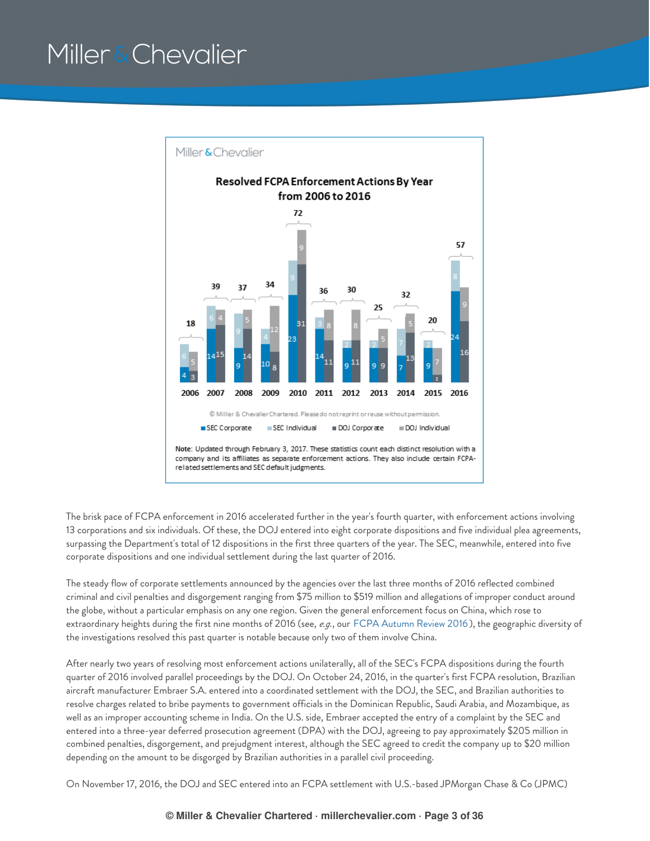

The brisk pace of FCPA enforcement in 2016 accelerated further in the year's fourth quarter, with enforcement actions involving 13 corporations and six individuals. Of these, the DOJ entered into eight corporate dispositions and five individual plea agreements, surpassing the Department's total of 12 dispositions in the first three quarters of the year. The SEC, meanwhile, entered into five corporate dispositions and one individual settlement during the last quarter of 2016.

The steady flow of corporate settlements announced by the agencies over the last three months of 2016 reflected combined criminal and civil penalties and disgorgement ranging from \$75 million to \$519 million and allegations of improper conduct around the globe, without a particular emphasis on any one region. Given the general enforcement focus on China, which rose to extraordinary heights during the first nine months of 2016 (see, *e.g.*, our FCPA [Autumn](https://www.millerchevalier.com/node/15563#Introduction) Review 2016 ), the geographic diversity of the investigations resolved this past quarter is notable because only two of them involve China.

After nearly two years of resolving most enforcement actions unilaterally, all of the SEC's FCPA dispositions during the fourth quarter of 2016 involved parallel proceedings by the DOJ. On October 24, 2016, in the quarter's first FCPA resolution, Brazilian aircraft manufacturer Embraer S.A. entered into a coordinated settlement with the DOJ, the SEC, and Brazilian authorities to resolve charges related to bribe payments to government officials in the Dominican Republic, Saudi Arabia, and Mozambique, as well as an improper accounting scheme in India. On the U.S. side, Embraer accepted the entry of a complaint by the SEC and entered into a three-year deferred prosecution agreement (DPA) with the DOJ, agreeing to pay approximately \$205 million in combined penalties, disgorgement, and prejudgment interest, although the SEC agreed to credit the company up to \$20 million depending on the amount to be disgorged by Brazilian authorities in a parallel civil proceeding.

On November 17, 2016, the DOJ and SEC entered into an FCPA settlement with U.S.-based JPMorgan Chase & Co (JPMC)

### **© Miller & Chevalier Chartered · millerchevalier.com · Page 3 of 36**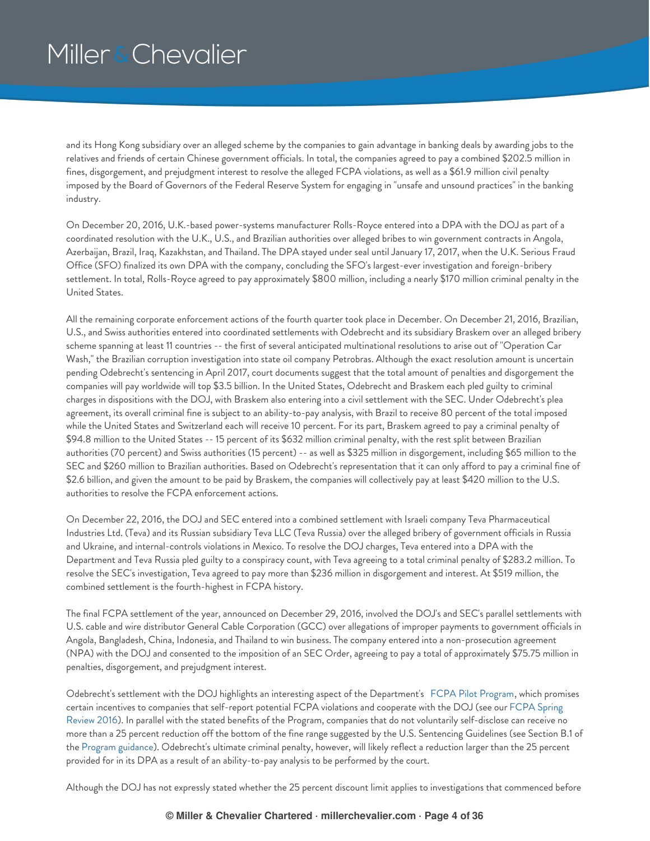and its Hong Kong subsidiary over an alleged scheme by the companies to gain advantage in banking deals by awarding jobs to the relatives and friends of certain Chinese government officials. In total, the companies agreed to pay a combined \$202.5 million in fines, disgorgement, and prejudgment interest to resolve the alleged FCPA violations, as well as a \$61.9 million civil penalty imposed by the Board of Governors of the Federal Reserve System for engaging in "unsafe and unsound practices" in the banking industry.

On December 20, 2016, U.K.-based power-systems manufacturer Rolls-Royce entered into a DPA with the DOJ as part of a coordinated resolution with the U.K., U.S., and Brazilian authorities over alleged bribes to win government contracts in Angola, Azerbaijan, Brazil, Iraq, Kazakhstan, and Thailand. The DPA stayed under seal until January 17, 2017, when the U.K. Serious Fraud Office (SFO) finalized its own DPA with the company, concluding the SFO's largest-ever investigation and foreign-bribery settlement. In total, Rolls-Royce agreed to pay approximately \$800 million, including a nearly \$170 million criminal penalty in the United States.

All the remaining corporate enforcement actions of the fourth quarter took place in December. On December 21, 2016, Brazilian, U.S., and Swiss authorities entered into coordinated settlements with Odebrecht and its subsidiary Braskem over an alleged bribery scheme spanning at least 11 countries -- the first of several anticipated multinational resolutions to arise out of "Operation Car Wash," the Brazilian corruption investigation into state oil company Petrobras. Although the exact resolution amount is uncertain pending Odebrecht's sentencing in April 2017, court documents suggest that the total amount of penalties and disgorgement the companies will pay worldwide will top \$3.5 billion. In the United States, Odebrecht and Braskem each pled guilty to criminal charges in dispositions with the DOJ, with Braskem also entering into a civil settlement with the SEC. Under Odebrecht's plea agreement, its overall criminal fine is subject to an ability-to-pay analysis, with Brazil to receive 80 percent of the total imposed while the United States and Switzerland each will receive 10 percent. For its part, Braskem agreed to pay a criminal penalty of \$94.8 million to the United States -- 15 percent of its \$632 million criminal penalty, with the rest split between Brazilian authorities (70 percent) and Swiss authorities (15 percent) -- as well as \$325 million in disgorgement, including \$65 million to the SEC and \$260 million to Brazilian authorities. Based on Odebrecht's representation that it can only afford to pay a criminal fine of \$2.6 billion, and given the amount to be paid by Braskem, the companies will collectively pay at least \$420 million to the U.S. authorities to resolve the FCPA enforcement actions.

On December 22, 2016, the DOJ and SEC entered into a combined settlement with Israeli company Teva Pharmaceutical Industries Ltd. (Teva) and its Russian subsidiary Teva LLC (Teva Russia) over the alleged bribery of government officials in Russia and Ukraine, and internal-controls violations in Mexico. To resolve the DOJ charges, Teva entered into a DPA with the Department and Teva Russia pled guilty to a conspiracy count, with Teva agreeing to a total criminal penalty of \$283.2 million. To resolve the SEC's investigation, Teva agreed to pay more than \$236 million in disgorgement and interest. At \$519 million, the combined settlement is the fourth-highest in FCPA history.

The final FCPA settlement of the year, announced on December 29, 2016, involved the DOJ's and SEC's parallel settlements with U.S. cable and wire distributor General Cable Corporation (GCC) over allegations of improper payments to government officials in Angola, Bangladesh, China, Indonesia, and Thailand to win business. The company entered into a non-prosecution agreement (NPA) with the DOJ and consented to the imposition of an SEC Order, agreeing to pay a total of approximately \$75.75 million in penalties, disgorgement, and prejudgment interest.

Odebrecht's settlement with the DOJ highlights an interesting aspect of the Department's FCPA Pilot [Program](https://www.justice.gov/criminal-fraud/file/838416/download), which promises certain incentives to companies that self-report potential FCPA violations and cooperate with the DOJ (see our FCPA Spring Review 2016). In parallel with the stated benefits of the Program, companies that do not voluntarily [self-disclose](https://www.millerchevalier.com/node/15563#Introduction) can receive no more than a 25 percent reduction off the bottom of the fine range suggested by the U.S. Sentencing Guidelines (see Section B.1 of the Program [guidance](https://www.justice.gov/criminal-fraud/file/838416/download)). Odebrecht's ultimate criminal penalty, however, will likely reflect a reduction larger than the 25 percent provided for in its DPA as a result of an ability-to-pay analysis to be performed by the court.

Although the DOJ has not expressly stated whether the 25 percent discount limit applies to investigations that commenced before

#### **© Miller & Chevalier Chartered · millerchevalier.com · Page 4 of 36**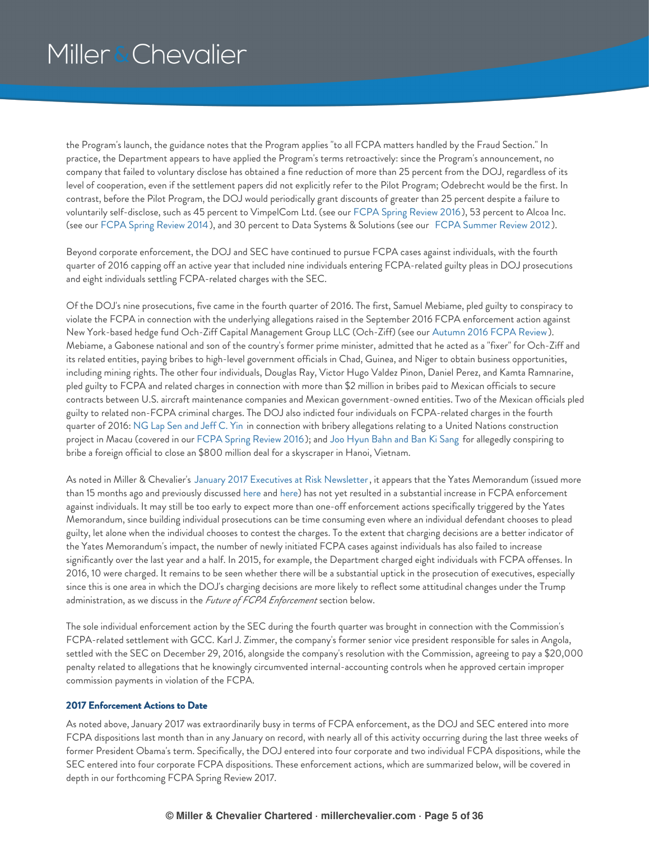the Program's launch, the guidance notes that the Program applies "to all FCPA matters handled by the Fraud Section." In practice, the Department appears to have applied the Program's terms retroactively: since the Program's announcement, no company that failed to voluntary disclose has obtained a fine reduction of more than 25 percent from the DOJ, regardless of its level of cooperation, even if the settlement papers did not explicitly refer to the Pilot Program; Odebrecht would be the first. In contrast, before the Pilot Program, the DOJ would periodically grant discounts of greater than 25 percent despite a failure to voluntarily self-disclose, such as 45 percent to VimpelCom Ltd. (see our FCPA Spring [Review](https://www.millerchevalier.com/node/15542#VimpelCom) 2016), 53 percent to Alcoa Inc. (see our FCPA Spring [Review](https://www.millerchevalier.com/node/15488#Alcoa) 2014), and 30 percent to Data Systems & Solutions (see our FCPA [Summer](https://www.millerchevalier.com/node/15459#data) Review 2012).

Beyond corporate enforcement, the DOJ and SEC have continued to pursue FCPA cases against individuals, with the fourth quarter of 2016 capping off an active year that included nine individuals entering FCPA-related guilty pleas in DOJ prosecutions and eight individuals settling FCPA-related charges with the SEC.

Of the DOJ's nine prosecutions, five came in the fourth quarter of 2016. The first, Samuel Mebiame, pled guilty to conspiracy to violate the FCPA in connection with the underlying allegations raised in the September 2016 FCPA enforcement action against New York-based hedge fund Och-Ziff Capital Management Group LLC (Och-Ziff) (see our [Autumn](https://www.millerchevalier.com/node/15563#OchZiff) 2016 FCPA Review). Mebiame, a Gabonese national and son of the country's former prime minister, admitted that he acted as a "fixer" for Och-Ziff and its related entities, paying bribes to high-level government officials in Chad, Guinea, and Niger to obtain business opportunities, including mining rights. The other four individuals, Douglas Ray, Victor Hugo Valdez Pinon, Daniel Perez, and Kamta Ramnarine, pled guilty to FCPA and related charges in connection with more than \$2 million in bribes paid to Mexican officials to secure contracts between U.S. aircraft maintenance companies and Mexican government-owned entities. Two of the Mexican officials pled guilty to related non-FCPA criminal charges. The DOJ also indicted four individuals on FCPA-related charges in the fourth quarter of 2016: [NG](https://www.justice.gov/criminal-fraud/fcpa/cases/ng-lap-seng-and-jeff-c-yin) Lap Sen and Jeff C. Yin in connection with bribery allegations relating to a United Nations construction project in Macau (covered in our FCPA Spring [Review](https://www.millerchevalier.com/node/15542#United_Nations) 2016); and Joo [Hyun](https://www.justice.gov/usao-sdny/pr/four-individuals-charged-foreign-bribery-and-fraud-scheme-involving-potential-800) Bahn and Ban Ki Sang for allegedly conspiring to bribe a foreign official to close an \$800 million deal for a skyscraper in Hanoi, Vietnam.

As noted in Miller & Chevalier's January 2017 Executives at Risk [Newsletter](https://www.millerchevalier.com/node/15565), it appears that the Yates Memorandum (issued more than 15 months ago and previously discussed [here](https://www.millerchevalier.com/node/15542#Introduction) and [here](https://www.millerchevalier.com/node/15532#Intro)) has not yet resulted in a substantial increase in FCPA enforcement against individuals. It may still be too early to expect more than one-off enforcement actions specifically triggered by the Yates Memorandum, since building individual prosecutions can be time consuming even where an individual defendant chooses to plead guilty, let alone when the individual chooses to contest the charges. To the extent that charging decisions are a better indicator of the Yates Memorandum's impact, the number of newly initiated FCPA cases against individuals has also failed to increase significantly over the last year and a half. In 2015, for example, the Department charged eight individuals with FCPA offenses. In 2016, 10 were charged. It remains to be seen whether there will be a substantial uptick in the prosecution of executives, especially since this is one area in which the DOJ's charging decisions are more likely to reflect some attitudinal changes under the Trump administration, as we discuss in the *Future of FCPA Enforcement* section below.

The sole individual enforcement action by the SEC during the fourth quarter was brought in connection with the Commission's FCPA-related settlement with GCC. Karl J. Zimmer, the company's former senior vice president responsible for sales in Angola, settled with the SEC on December 29, 2016, alongside the company's resolution with the Commission, agreeing to pay a \$20,000 penalty related to allegations that he knowingly circumvented internal-accounting controls when he approved certain improper commission payments in violation of the FCPA.

#### **2017 Enforcement Actions to Date**

As noted above, January 2017 was extraordinarily busy in terms of FCPA enforcement, as the DOJ and SEC entered into more FCPA dispositions last month than in any January on record, with nearly all of this activity occurring during the last three weeks of former President Obama's term. Specifically, the DOJ entered into four corporate and two individual FCPA dispositions, while the SEC entered into four corporate FCPA dispositions. These enforcement actions, which are summarized below, will be covered in depth in our forthcoming FCPA Spring Review 2017.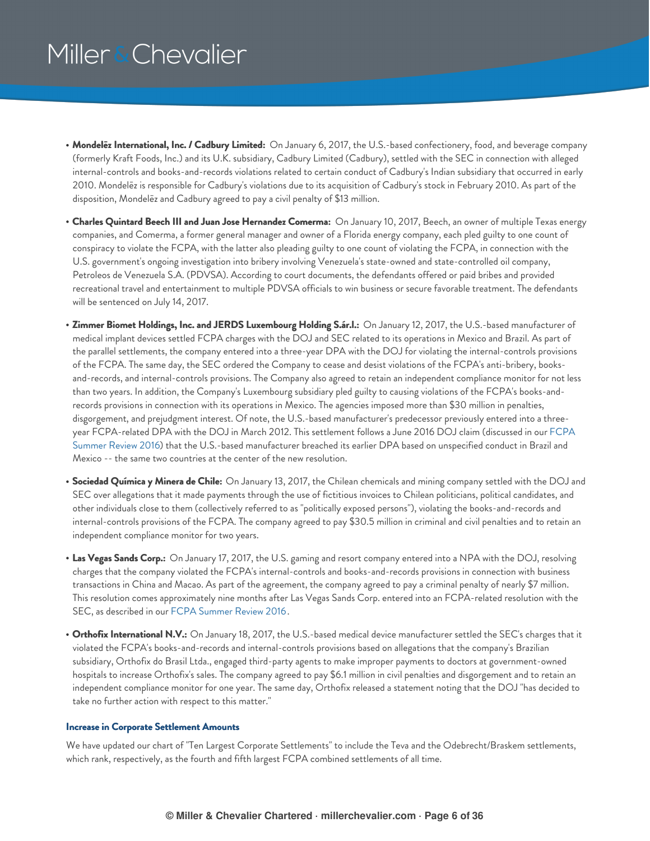- **Mondelēz International, Inc. / Cadbury Limited:** On January 6, 2017, the U.S.-based confectionery, food, and beverage company (formerly Kraft Foods, Inc.) and its U.K. subsidiary, Cadbury Limited (Cadbury), settled with the SEC in connection with alleged internal-controls and books-and-records violations related to certain conduct of Cadbury's Indian subsidiary that occurred in early 2010. Mondelēz is responsible for Cadbury's violations due to its acquisition of Cadbury's stock in February 2010. As part of the disposition, Mondelēz and Cadbury agreed to pay a civil penalty of \$13 million.
- **Charles Quintard Beech III and Juan Jose Hernandez Comerma:** On January 10, 2017, Beech, an owner of multiple Texas energy companies, and Comerma, a former general manager and owner of a Florida energy company, each pled guilty to one count of conspiracy to violate the FCPA, with the latter also pleading guilty to one count of violating the FCPA, in connection with the U.S. government's ongoing investigation into bribery involving Venezuela's state-owned and state-controlled oil company, Petroleos de Venezuela S.A. (PDVSA). According to court documents, the defendants offered or paid bribes and provided recreational travel and entertainment to multiple PDVSA officials to win business or secure favorable treatment. The defendants will be sentenced on July 14, 2017.
- **Zimmer Biomet Holdings, Inc. and JERDS Luxembourg Holding S.ár.l.:** On January 12, 2017, the U.S.-based manufacturer of medical implant devices settled FCPA charges with the DOJ and SEC related to its operations in Mexico and Brazil. As part of the parallel settlements, the company entered into a three-year DPA with the DOJ for violating the internal-controls provisions of the FCPA. The same day, the SEC ordered the Company to cease and desist violations of the FCPA's anti-bribery, booksand-records, and internal-controls provisions. The Company also agreed to retain an independent compliance monitor for not less than two years. In addition, the Company's Luxembourg subsidiary pled guilty to causing violations of the FCPA's books-andrecords provisions in connection with its operations in Mexico. The agencies imposed more than \$30 million in penalties, disgorgement, and prejudgment interest. Of note, the U.S.-based manufacturer's predecessor previously entered into a threeyear [FCPA-related](https://www.millerchevalier.com/node/15551#Biomet) DPA with the DOJ in March 2012. This settlement follows a June 2016 DOJ claim (discussed in our FCPA Summer Review 2016) that the U.S.-based manufacturer breached its earlier DPA based on unspecified conduct in Brazil and Mexico -- the same two countries at the center of the new resolution.
- **Sociedad Química y Minera de Chile:** On January 13, 2017, the Chilean chemicals and mining company settled with the DOJ and SEC over allegations that it made payments through the use of fictitious invoices to Chilean politicians, political candidates, and other individuals close to them (collectively referred to as "politically exposed persons"), violating the books-and-records and internal-controls provisions of the FCPA. The company agreed to pay \$30.5 million in criminal and civil penalties and to retain an independent compliance monitor for two years.
- **Las Vegas Sands Corp.:** On January 17, 2017, the U.S. gaming and resort company entered into a NPA with the DOJ, resolving charges that the company violated the FCPA's internal-controls and books-and-records provisions in connection with business transactions in China and Macao. As part of the agreement, the company agreed to pay a criminal penalty of nearly \$7 million. This resolution comes approximately nine months after Las Vegas Sands Corp. entered into an FCPA-related resolution with the SEC, as described in our FCPA [Summer](https://www.millerchevalier.com/node/15551#Sands) Review 2016.
- **Orthofix International N.V.:** On January 18, 2017, the U.S.-based medical device manufacturer settled the SEC's charges that it violated the FCPA's books-and-records and internal-controls provisions based on allegations that the company's Brazilian subsidiary, Orthofix do Brasil Ltda., engaged third-party agents to make improper payments to doctors at government-owned hospitals to increase Orthofix's sales. The company agreed to pay \$6.1 million in civil penalties and disgorgement and to retain an independent compliance monitor for one year. The same day, Orthofix released a statement noting that the DOJ "has decided to take no further action with respect to this matter."

#### **Increase in Corporate Settlement Amounts**

We have updated our chart of "Ten Largest Corporate Settlements" to include the Teva and the Odebrecht/Braskem settlements, which rank, respectively, as the fourth and fifth largest FCPA combined settlements of all time.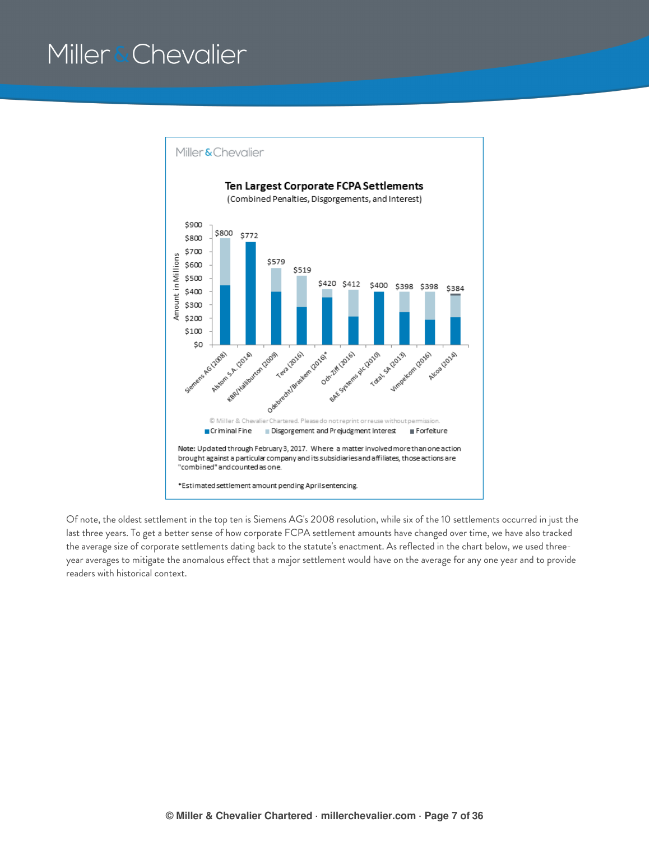

Of note, the oldest settlement in the top ten is Siemens AG's 2008 resolution, while six of the 10 settlements occurred in just the last three years. To get a better sense of how corporate FCPA settlement amounts have changed over time, we have also tracked the average size of corporate settlements dating back to the statute's enactment. As reflected in the chart below, we used threeyear averages to mitigate the anomalous effect that a major settlement would have on the average for any one year and to provide readers with historical context.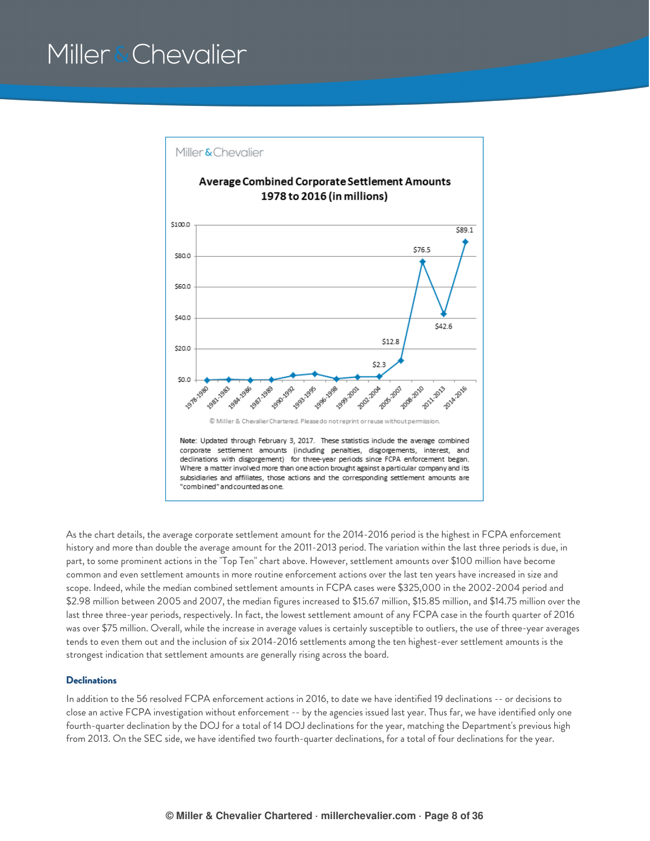

As the chart details, the average corporate settlement amount for the 2014-2016 period is the highest in FCPA enforcement history and more than double the average amount for the 2011-2013 period. The variation within the last three periods is due, in part, to some prominent actions in the "Top Ten" chart above. However, settlement amounts over \$100 million have become common and even settlement amounts in more routine enforcement actions over the last ten years have increased in size and scope. Indeed, while the median combined settlement amounts in FCPA cases were \$325,000 in the 2002-2004 period and \$2.98 million between 2005 and 2007, the median figures increased to \$15.67 million, \$15.85 million, and \$14.75 million over the last three three-year periods, respectively. In fact, the lowest settlement amount of any FCPA case in the fourth quarter of 2016 was over \$75 million. Overall, while the increase in average values is certainly susceptible to outliers, the use of three-year averages tends to even them out and the inclusion of six 2014-2016 settlements among the ten highest-ever settlement amounts is the strongest indication that settlement amounts are generally rising across the board.

### **Declinations**

In addition to the 56 resolved FCPA enforcement actions in 2016, to date we have identified 19 declinations -- or decisions to close an active FCPA investigation without enforcement -- by the agencies issued last year. Thus far, we have identified only one fourth-quarter declination by the DOJ for a total of 14 DOJ declinations for the year, matching the Department's previous high from 2013. On the SEC side, we have identified two fourth-quarter declinations, for a total of four declinations for the year.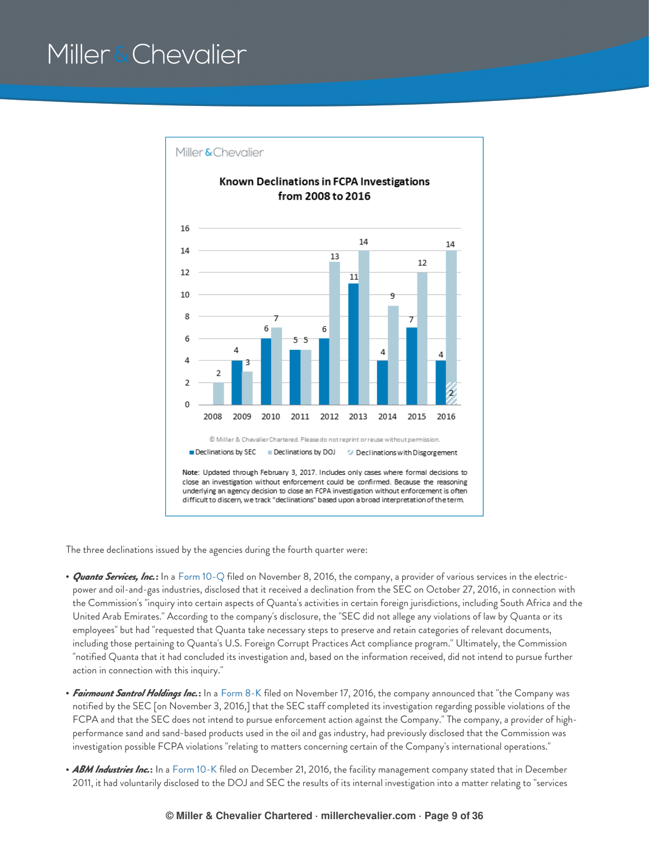

The three declinations issued by the agencies during the fourth quarter were:

- *Quanta Services, Inc.***:** In a Form [10-Q](https://www.sec.gov/Archives/edgar/data/1050915/000119312516762970/d252110d10q.htm) filed on November 8, 2016, the company, a provider of various services in the electricpower and oil-and-gas industries, disclosed that it received a declination from the SEC on October 27, 2016, in connection with the Commission's "inquiry into certain aspects of Quanta's activities in certain foreign jurisdictions, including South Africa and the United Arab Emirates." According to the company's disclosure, the "SEC did not allege any violations of law by Quanta or its employees" but had "requested that Quanta take necessary steps to preserve and retain categories of relevant documents, including those pertaining to Quanta's U.S. Foreign Corrupt Practices Act compliance program." Ultimately, the Commission "notified Quanta that it had concluded its investigation and, based on the information received, did not intend to pursue further action in connection with this inquiry."
- *Fairmount Santrol Holdings Inc.***:** In a [Form](https://www.sec.gov/Archives/edgar/data/1010858/000119312516770417/d205155d8k.htm) 8-K filed on November 17, 2016, the company announced that "the Company was notified by the SEC [on November 3, 2016,] that the SEC staff completed its investigation regarding possible violations of the FCPA and that the SEC does not intend to pursue enforcement action against the Company." The company, a provider of highperformance sand and sand-based products used in the oil and gas industry, had previously disclosed that the Commission was investigation possible FCPA violations "relating to matters concerning certain of the Company's international operations."
- *ABM Industries Inc.***:** In a [Form](https://www.sec.gov/Archives/edgar/data/771497/000162828016022122/abm10312016-10k.htm) 10-K filed on December 21, 2016, the facility management company stated that in December 2011, it had voluntarily disclosed to the DOJ and SEC the results of its internal investigation into a matter relating to "services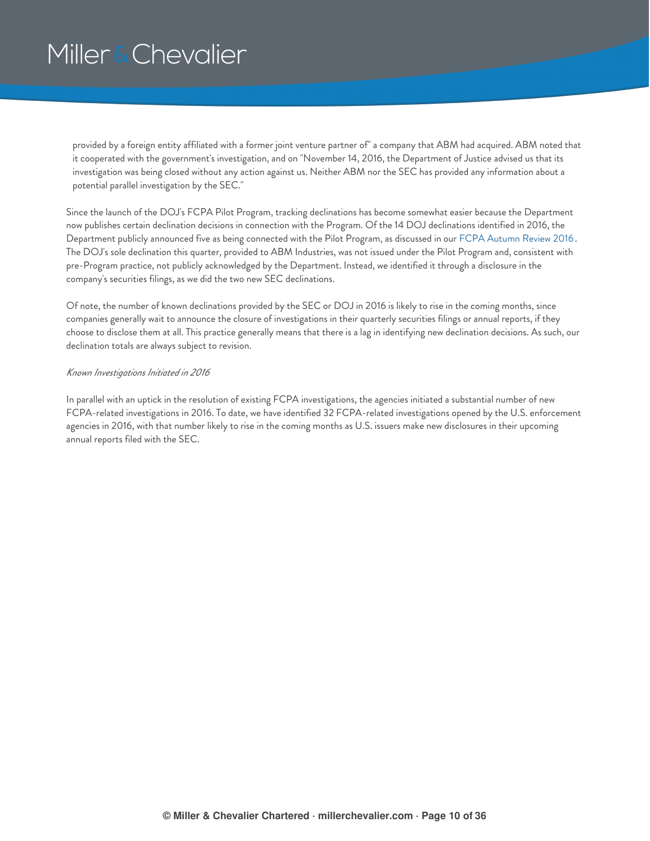provided by a foreign entity affiliated with a former joint venture partner of" a company that ABM had acquired. ABM noted that it cooperated with the government's investigation, and on "November 14, 2016, the Department of Justice advised us that its investigation was being closed without any action against us. Neither ABM nor the SEC has provided any information about a potential parallel investigation by the SEC."

Since the launch of the DOJ's FCPA Pilot Program, tracking declinations has become somewhat easier because the Department now publishes certain declination decisions in connection with the Program. Of the 14 DOJ declinations identified in 2016, the Department publicly announced five as being connected with the Pilot Program, as discussed in our FCPA [Autumn](https://www.millerchevalier.com/node/15563#Introduction) Review 2016 . The DOJ's sole declination this quarter, provided to ABM Industries, was not issued under the Pilot Program and, consistent with pre-Program practice, not publicly acknowledged by the Department. Instead, we identified it through a disclosure in the company's securities filings, as we did the two new SEC declinations.

Of note, the number of known declinations provided by the SEC or DOJ in 2016 is likely to rise in the coming months, since companies generally wait to announce the closure of investigations in their quarterly securities filings or annual reports, if they choose to disclose them at all. This practice generally means that there is a lag in identifying new declination decisions. As such, our declination totals are always subject to revision.

### *Known Investigations Initiated in 2016*

In parallel with an uptick in the resolution of existing FCPA investigations, the agencies initiated a substantial number of new FCPA-related investigations in 2016. To date, we have identified 32 FCPA-related investigations opened by the U.S. enforcement agencies in 2016, with that number likely to rise in the coming months as U.S. issuers make new disclosures in their upcoming annual reports filed with the SEC.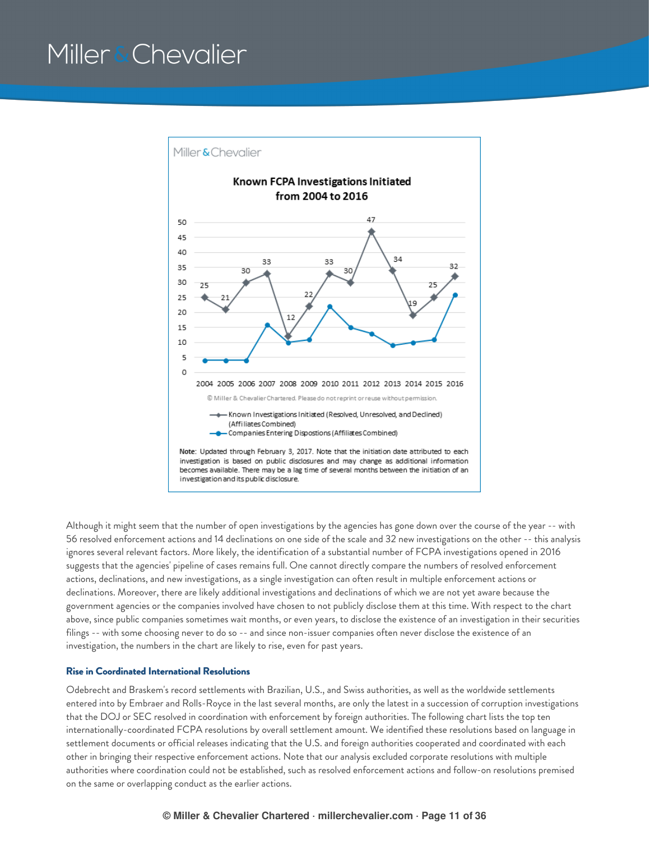

Although it might seem that the number of open investigations by the agencies has gone down over the course of the year -- with 56 resolved enforcement actions and 14 declinations on one side of the scale and 32 new investigations on the other -- this analysis ignores several relevant factors. More likely, the identification of a substantial number of FCPA investigations opened in 2016 suggests that the agencies' pipeline of cases remains full. One cannot directly compare the numbers of resolved enforcement actions, declinations, and new investigations, as a single investigation can often result in multiple enforcement actions or declinations. Moreover, there are likely additional investigations and declinations of which we are not yet aware because the government agencies or the companies involved have chosen to not publicly disclose them at this time. With respect to the chart above, since public companies sometimes wait months, or even years, to disclose the existence of an investigation in their securities filings -- with some choosing never to do so -- and since non-issuer companies often never disclose the existence of an investigation, the numbers in the chart are likely to rise, even for past years.

#### **Rise in Coordinated International Resolutions**

Odebrecht and Braskem's record settlements with Brazilian, U.S., and Swiss authorities, as well as the worldwide settlements entered into by Embraer and Rolls-Royce in the last several months, are only the latest in a succession of corruption investigations that the DOJ or SEC resolved in coordination with enforcement by foreign authorities. The following chart lists the top ten internationally-coordinated FCPA resolutions by overall settlement amount. We identified these resolutions based on language in settlement documents or official releases indicating that the U.S. and foreign authorities cooperated and coordinated with each other in bringing their respective enforcement actions. Note that our analysis excluded corporate resolutions with multiple authorities where coordination could not be established, such as resolved enforcement actions and follow-on resolutions premised on the same or overlapping conduct as the earlier actions.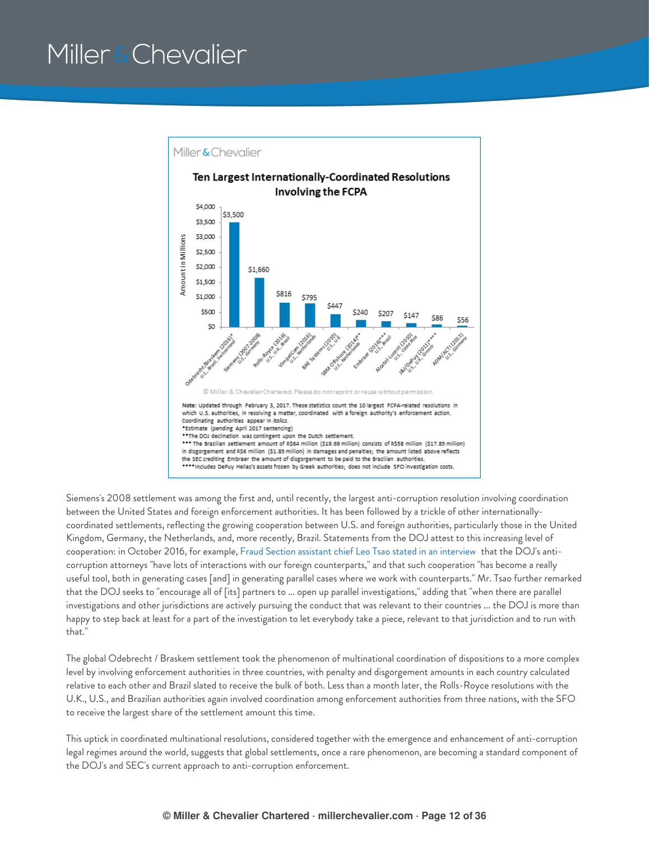

Siemens's 2008 settlement was among the first and, until recently, the largest anti-corruption resolution involving coordination between the United States and foreign enforcement authorities. It has been followed by a trickle of other internationallycoordinated settlements, reflecting the growing cooperation between U.S. and foreign authorities, particularly those in the United Kingdom, Germany, the Netherlands, and, more recently, Brazil. Statements from the DOJ attest to this increasing level of cooperation: in October 2016, for example, Fraud Section assistant chief Leo Tsao stated in an [interview](http://globalinvestigationsreview.com/article/1069920/doj-prosecutor-fcpa-pilot-programme-generating-more-voluntary-disclosures) that the DOJ's anticorruption attorneys "have lots of interactions with our foreign counterparts," and that such cooperation "has become a really useful tool, both in generating cases [and] in generating parallel cases where we work with counterparts." Mr. Tsao further remarked that the DOJ seeks to "encourage all of [its] partners to ... open up parallel investigations," adding that "when there are parallel investigations and other jurisdictions are actively pursuing the conduct that was relevant to their countries ... the DOJ is more than happy to step back at least for a part of the investigation to let everybody take a piece, relevant to that jurisdiction and to run with that."

The global Odebrecht / Braskem settlement took the phenomenon of multinational coordination of dispositions to a more complex level by involving enforcement authorities in three countries, with penalty and disgorgement amounts in each country calculated relative to each other and Brazil slated to receive the bulk of both. Less than a month later, the Rolls-Royce resolutions with the U.K., U.S., and Brazilian authorities again involved coordination among enforcement authorities from three nations, with the SFO to receive the largest share of the settlement amount this time.

This uptick in coordinated multinational resolutions, considered together with the emergence and enhancement of anti-corruption legal regimes around the world, suggests that global settlements, once a rare phenomenon, are becoming a standard component of the DOJ's and SEC's current approach to anti-corruption enforcement.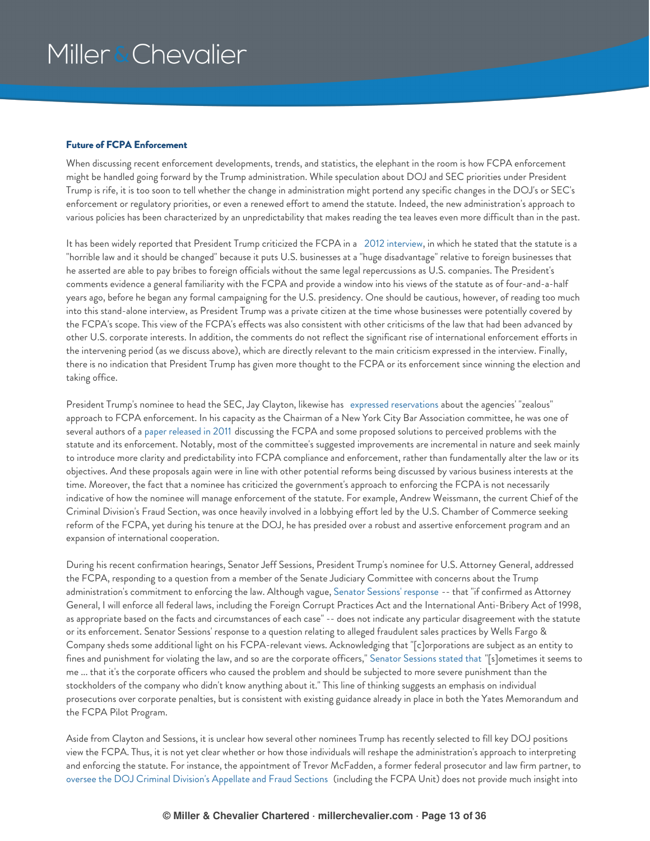### **Future of FCPA Enforcement**

When discussing recent enforcement developments, trends, and statistics, the elephant in the room is how FCPA enforcement might be handled going forward by the Trump administration. While speculation about DOJ and SEC priorities under President Trump is rife, it is too soon to tell whether the change in administration might portend any specific changes in the DOJ's or SEC's enforcement or regulatory priorities, or even a renewed effort to amend the statute. Indeed, the new administration's approach to various policies has been characterized by an unpredictability that makes reading the tea leaves even more difficult than in the past.

It has been widely reported that President Trump criticized the FCPA in a 2012 [interview](http://video.cnbc.com/gallery/?video=3000089630&play=1), in which he stated that the statute is a "horrible law and it should be changed" because it puts U.S. businesses at a "huge disadvantage" relative to foreign businesses that he asserted are able to pay bribes to foreign officials without the same legal repercussions as U.S. companies. The President's comments evidence a general familiarity with the FCPA and provide a window into his views of the statute as of four-and-a-half years ago, before he began any formal campaigning for the U.S. presidency. One should be cautious, however, of reading too much into this stand-alone interview, as President Trump was a private citizen at the time whose businesses were potentially covered by the FCPA's scope. This view of the FCPA's effects was also consistent with other criticisms of the law that had been advanced by other U.S. corporate interests. In addition, the comments do not reflect the significant rise of international enforcement efforts in the intervening period (as we discuss above), which are directly relevant to the main criticism expressed in the interview. Finally, there is no indication that President Trump has given more thought to the FCPA or its enforcement since winning the election and taking office.

President Trump's nominee to head the SEC, Jay Clayton, likewise has expressed [reservations](http://www2.nycbar.org/pdf/report/uploads/FCPAImpactonInternationalBusinessTransactions.pdf) about the agencies' "zealous" approach to FCPA enforcement. In his capacity as the Chairman of a New York City Bar Association committee, he was one of several authors of a paper [released](http://www2.nycbar.org/pdf/report/uploads/FCPAImpactonInternationalBusinessTransactions.pdf) in 2011 discussing the FCPA and some proposed solutions to perceived problems with the statute and its enforcement. Notably, most of the committee's suggested improvements are incremental in nature and seek mainly to introduce more clarity and predictability into FCPA compliance and enforcement, rather than fundamentally alter the law or its objectives. And these proposals again were in line with other potential reforms being discussed by various business interests at the time. Moreover, the fact that a nominee has criticized the government's approach to enforcing the FCPA is not necessarily indicative of how the nominee will manage enforcement of the statute. For example, Andrew Weissmann, the current Chief of the Criminal Division's Fraud Section, was once heavily involved in a lobbying effort led by the U.S. Chamber of Commerce seeking reform of the FCPA, yet during his tenure at the DOJ, he has presided over a robust and assertive enforcement program and an expansion of international cooperation.

During his recent confirmation hearings, Senator Jeff Sessions, President Trump's nominee for U.S. Attorney General, addressed the FCPA, responding to a question from a member of the Senate Judiciary Committee with concerns about the Trump administration's commitment to enforcing the law. Although vague, Senator Sessions' [response](https://www.judiciary.senate.gov/imo/media/doc/Sessions%20Responses%20to%20Whitehouse%20QFRs.pdf) -- that "if confirmed as Attorney General, I will enforce all federal laws, including the Foreign Corrupt Practices Act and the International Anti-Bribery Act of 1998, as appropriate based on the facts and circumstances of each case" -- does not indicate any particular disagreement with the statute or its enforcement. Senator Sessions' response to a question relating to alleged fraudulent sales practices by Wells Fargo & Company sheds some additional light on his FCPA-relevant views. Acknowledging that "[c]orporations are subject as an entity to fines and punishment for violating the law, and so are the corporate officers," Senator [Sessions](http://globalinvestigationsreview.com/article/1080495/jeff-sessions-promises-to-enforce-the-fcpa-if-confirmed-as-attorney-general) stated that "[s]ometimes it seems to me ... that it's the corporate officers who caused the problem and should be subjected to more severe punishment than the stockholders of the company who didn't know anything about it." This line of thinking suggests an emphasis on individual prosecutions over corporate penalties, but is consistent with existing guidance already in place in both the Yates Memorandum and the FCPA Pilot Program.

Aside from Clayton and Sessions, it is unclear how several other nominees Trump has recently selected to fill key DOJ positions view the FCPA. Thus, it is not yet clear whether or how those individuals will reshape the administration's approach to interpreting and enforcing the statute. For instance, the appointment of Trevor McFadden, a former federal prosecutor and law firm partner, to oversee the DOJ Criminal Division's [Appellate](http://globalinvestigationsreview.com/article/1080470/baker-mckenzie-partner-to-oversee-criminal-division-fraud-section) and Fraud Sections (including the FCPA Unit) does not provide much insight into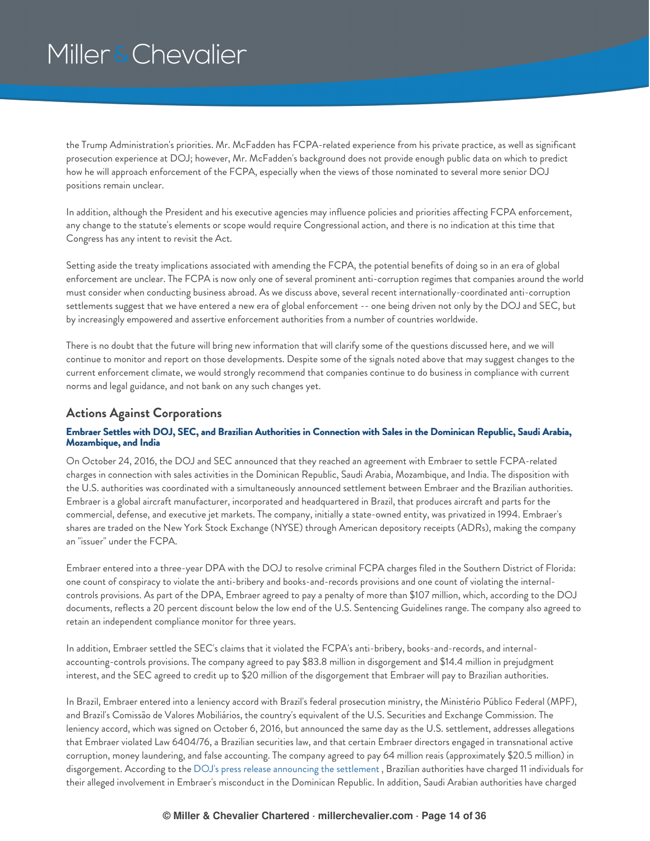the Trump Administration's priorities. Mr. McFadden has FCPA-related experience from his private practice, as well as significant prosecution experience at DOJ; however, Mr. McFadden's background does not provide enough public data on which to predict how he will approach enforcement of the FCPA, especially when the views of those nominated to several more senior DOJ positions remain unclear.

In addition, although the President and his executive agencies may influence policies and priorities affecting FCPA enforcement, any change to the statute's elements or scope would require Congressional action, and there is no indication at this time that Congress has any intent to revisit the Act.

Setting aside the treaty implications associated with amending the FCPA, the potential benefits of doing so in an era of global enforcement are unclear. The FCPA is now only one of several prominent anti-corruption regimes that companies around the world must consider when conducting business abroad. As we discuss above, several recent internationally-coordinated anti-corruption settlements suggest that we have entered a new era of global enforcement -- one being driven not only by the DOJ and SEC, but by increasingly empowered and assertive enforcement authorities from a number of countries worldwide.

There is no doubt that the future will bring new information that will clarify some of the questions discussed here, and we will continue to monitor and report on those developments. Despite some of the signals noted above that may suggest changes to the current enforcement climate, we would strongly recommend that companies continue to do business in compliance with current norms and legal guidance, and not bank on any such changes yet.

### <span id="page-13-0"></span>**Actions Against Corporations**

### <span id="page-13-1"></span>Embraer Settles with DOJ, SEC, and Brazilian Authorities in Connection with Sales in the Dominican Republic, Saudi Arabia, **Mozambique, and India**

On October 24, 2016, the DOJ and SEC announced that they reached an agreement with Embraer to settle FCPA-related charges in connection with sales activities in the Dominican Republic, Saudi Arabia, Mozambique, and India. The disposition with the U.S. authorities was coordinated with a simultaneously announced settlement between Embraer and the Brazilian authorities. Embraer is a global aircraft manufacturer, incorporated and headquartered in Brazil, that produces aircraft and parts for the commercial, defense, and executive jet markets. The company, initially a state-owned entity, was privatized in 1994. Embraer's shares are traded on the New York Stock Exchange (NYSE) through American depository receipts (ADRs), making the company an "issuer" under the FCPA.

Embraer entered into a three-year DPA with the DOJ to resolve criminal FCPA charges filed in the Southern District of Florida: one count of conspiracy to violate the anti-bribery and books-and-records provisions and one count of violating the internalcontrols provisions. As part of the DPA, Embraer agreed to pay a penalty of more than \$107 million, which, according to the DOJ documents, reflects a 20 percent discount below the low end of the U.S. Sentencing Guidelines range. The company also agreed to retain an independent compliance monitor for three years.

In addition, Embraer settled the SEC's claims that it violated the FCPA's anti-bribery, books-and-records, and internalaccounting-controls provisions. The company agreed to pay \$83.8 million in disgorgement and \$14.4 million in prejudgment interest, and the SEC agreed to credit up to \$20 million of the disgorgement that Embraer will pay to Brazilian authorities.

In Brazil, Embraer entered into a leniency accord with Brazil's federal prosecution ministry, the Ministério Público Federal (MPF), and Brazil's Comissão de Valores Mobiliários, the country's equivalent of the U.S. Securities and Exchange Commission. The leniency accord, which was signed on October 6, 2016, but announced the same day as the U.S. settlement, addresses allegations that Embraer violated Law 6404/76, a Brazilian securities law, and that certain Embraer directors engaged in transnational active corruption, money laundering, and false accounting. The company agreed to pay 64 million reais (approximately \$20.5 million) in disgorgement. According to the DOJ's press release [announcing](https://www.justice.gov/opa/pr/embraer-agrees-pay-more-107-million-resolve-foreign-corrupt-practices-act-charges) the settlement , Brazilian authorities have charged 11 individuals for their alleged involvement in Embraer's misconduct in the Dominican Republic. In addition, Saudi Arabian authorities have charged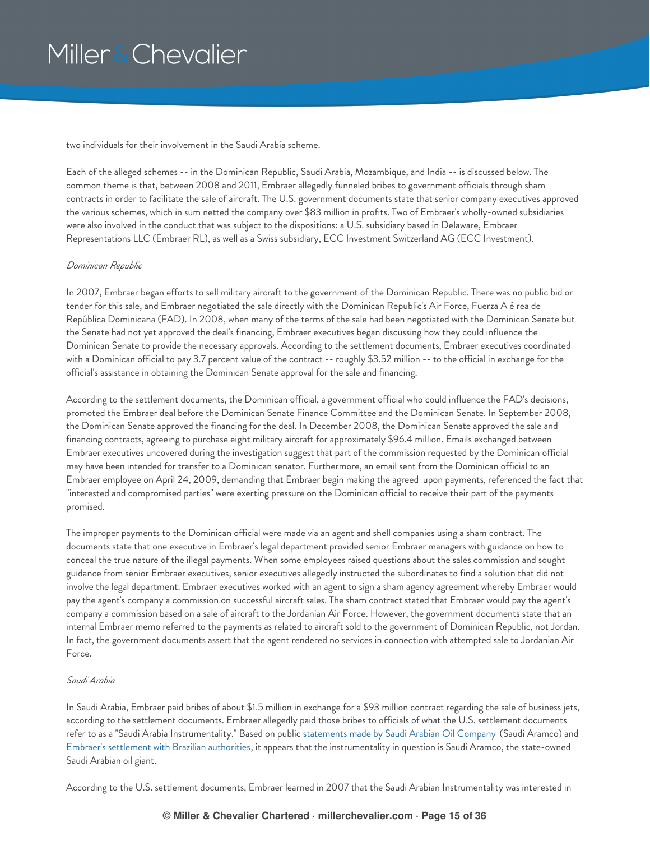two individuals for their involvement in the Saudi Arabia scheme.

Each of the alleged schemes -- in the Dominican Republic, Saudi Arabia, Mozambique, and India -- is discussed below. The common theme is that, between 2008 and 2011, Embraer allegedly funneled bribes to government officials through sham contracts in order to facilitate the sale of aircraft. The U.S. government documents state that senior company executives approved the various schemes, which in sum netted the company over \$83 million in profits. Two of Embraer's wholly-owned subsidiaries were also involved in the conduct that was subject to the dispositions: a U.S. subsidiary based in Delaware, Embraer Representations LLC (Embraer RL), as well as a Swiss subsidiary, ECC Investment Switzerland AG (ECC Investment).

### *Dominican Republic*

In 2007, Embraer began efforts to sell military aircraft to the government of the Dominican Republic. There was no public bid or tender for this sale, and Embraer negotiated the sale directly with the Dominican Republic's Air Force, Fuerza A é rea de República Dominicana (FAD). In 2008, when many of the terms of the sale had been negotiated with the Dominican Senate but the Senate had not yet approved the deal's financing, Embraer executives began discussing how they could influence the Dominican Senate to provide the necessary approvals. According to the settlement documents, Embraer executives coordinated with a Dominican official to pay 3.7 percent value of the contract -- roughly \$3.52 million -- to the official in exchange for the official's assistance in obtaining the Dominican Senate approval for the sale and financing.

According to the settlement documents, the Dominican official, a government official who could influence the FAD's decisions, promoted the Embraer deal before the Dominican Senate Finance Committee and the Dominican Senate. In September 2008, the Dominican Senate approved the financing for the deal. In December 2008, the Dominican Senate approved the sale and financing contracts, agreeing to purchase eight military aircraft for approximately \$96.4 million. Emails exchanged between Embraer executives uncovered during the investigation suggest that part of the commission requested by the Dominican official may have been intended for transfer to a Dominican senator. Furthermore, an email sent from the Dominican official to an Embraer employee on April 24, 2009, demanding that Embraer begin making the agreed-upon payments, referenced the fact that "interested and compromised parties" were exerting pressure on the Dominican official to receive their part of the payments promised.

The improper payments to the Dominican official were made via an agent and shell companies using a sham contract. The documents state that one executive in Embraer's legal department provided senior Embraer managers with guidance on how to conceal the true nature of the illegal payments. When some employees raised questions about the sales commission and sought guidance from senior Embraer executives, senior executives allegedly instructed the subordinates to find a solution that did not involve the legal department. Embraer executives worked with an agent to sign a sham agency agreement whereby Embraer would pay the agent's company a commission on successful aircraft sales. The sham contract stated that Embraer would pay the agent's company a commission based on a sale of aircraft to the Jordanian Air Force. However, the government documents state that an internal Embraer memo referred to the payments as related to aircraft sold to the government of Dominican Republic, not Jordan. In fact, the government documents assert that the agent rendered no services in connection with attempted sale to Jordanian Air Force.

### *Saudi Arabia*

In Saudi Arabia, Embraer paid bribes of about \$1.5 million in exchange for a \$93 million contract regarding the sale of business jets, according to the settlement documents. Embraer allegedly paid those bribes to officials of what the U.S. settlement documents refer to as a "Saudi Arabia Instrumentality." Based on public [statements](http://www.saudiaramco.com/en/home/news-media/news/embraer.html) made by Saudi Arabian Oil Company (Saudi Aramco) and Embraer's [settlement](http://www.cvm.gov.br/export/sites/cvm/noticias/anexos/2016/20161024-tcacembraer_v2.pdf) with Brazilian authorities, it appears that the instrumentality in question is Saudi Aramco, the state-owned Saudi Arabian oil giant.

According to the U.S. settlement documents, Embraer learned in 2007 that the Saudi Arabian Instrumentality was interested in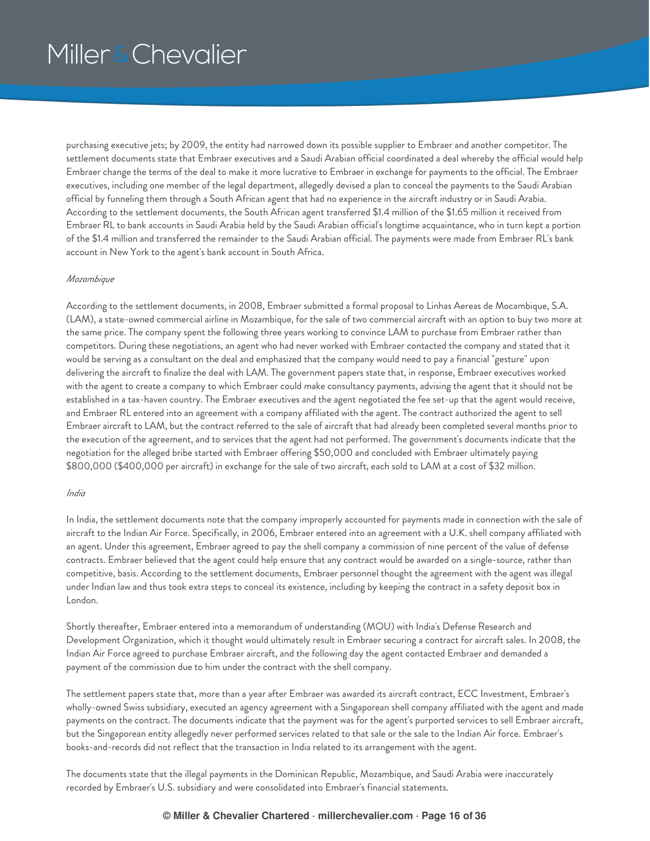purchasing executive jets; by 2009, the entity had narrowed down its possible supplier to Embraer and another competitor. The settlement documents state that Embraer executives and a Saudi Arabian official coordinated a deal whereby the official would help Embraer change the terms of the deal to make it more lucrative to Embraer in exchange for payments to the official. The Embraer executives, including one member of the legal department, allegedly devised a plan to conceal the payments to the Saudi Arabian official by funneling them through a South African agent that had no experience in the aircraft industry or in Saudi Arabia. According to the settlement documents, the South African agent transferred \$1.4 million of the \$1.65 million it received from Embraer RL to bank accounts in Saudi Arabia held by the Saudi Arabian official's longtime acquaintance, who in turn kept a portion of the \$1.4 million and transferred the remainder to the Saudi Arabian official. The payments were made from Embraer RL's bank account in New York to the agent's bank account in South Africa.

### *Mozambique*

According to the settlement documents, in 2008, Embraer submitted a formal proposal to Linhas Aereas de Mocambique, S.A. (LAM), a state-owned commercial airline in Mozambique, for the sale of two commercial aircraft with an option to buy two more at the same price. The company spent the following three years working to convince LAM to purchase from Embraer rather than competitors. During these negotiations, an agent who had never worked with Embraer contacted the company and stated that it would be serving as a consultant on the deal and emphasized that the company would need to pay a financial "gesture" upon delivering the aircraft to finalize the deal with LAM. The government papers state that, in response, Embraer executives worked with the agent to create a company to which Embraer could make consultancy payments, advising the agent that it should not be established in a tax-haven country. The Embraer executives and the agent negotiated the fee set-up that the agent would receive, and Embraer RL entered into an agreement with a company affiliated with the agent. The contract authorized the agent to sell Embraer aircraft to LAM, but the contract referred to the sale of aircraft that had already been completed several months prior to the execution of the agreement, and to services that the agent had not performed. The government's documents indicate that the negotiation for the alleged bribe started with Embraer offering \$50,000 and concluded with Embraer ultimately paying \$800,000 (\$400,000 per aircraft) in exchange for the sale of two aircraft, each sold to LAM at a cost of \$32 million.

### *India*

In India, the settlement documents note that the company improperly accounted for payments made in connection with the sale of aircraft to the Indian Air Force. Specifically, in 2006, Embraer entered into an agreement with a U.K. shell company affiliated with an agent. Under this agreement, Embraer agreed to pay the shell company a commission of nine percent of the value of defense contracts. Embraer believed that the agent could help ensure that any contract would be awarded on a single-source, rather than competitive, basis. According to the settlement documents, Embraer personnel thought the agreement with the agent was illegal under Indian law and thus took extra steps to conceal its existence, including by keeping the contract in a safety deposit box in London.

Shortly thereafter, Embraer entered into a memorandum of understanding (MOU) with India's Defense Research and Development Organization, which it thought would ultimately result in Embraer securing a contract for aircraft sales. In 2008, the Indian Air Force agreed to purchase Embraer aircraft, and the following day the agent contacted Embraer and demanded a payment of the commission due to him under the contract with the shell company.

The settlement papers state that, more than a year after Embraer was awarded its aircraft contract, ECC Investment, Embraer's wholly-owned Swiss subsidiary, executed an agency agreement with a Singaporean shell company affiliated with the agent and made payments on the contract. The documents indicate that the payment was for the agent's purported services to sell Embraer aircraft, but the Singaporean entity allegedly never performed services related to that sale or the sale to the Indian Air force. Embraer's books-and-records did not reflect that the transaction in India related to its arrangement with the agent.

The documents state that the illegal payments in the Dominican Republic, Mozambique, and Saudi Arabia were inaccurately recorded by Embraer's U.S. subsidiary and were consolidated into Embraer's financial statements.

### **© Miller & Chevalier Chartered · millerchevalier.com · Page 16 of 36**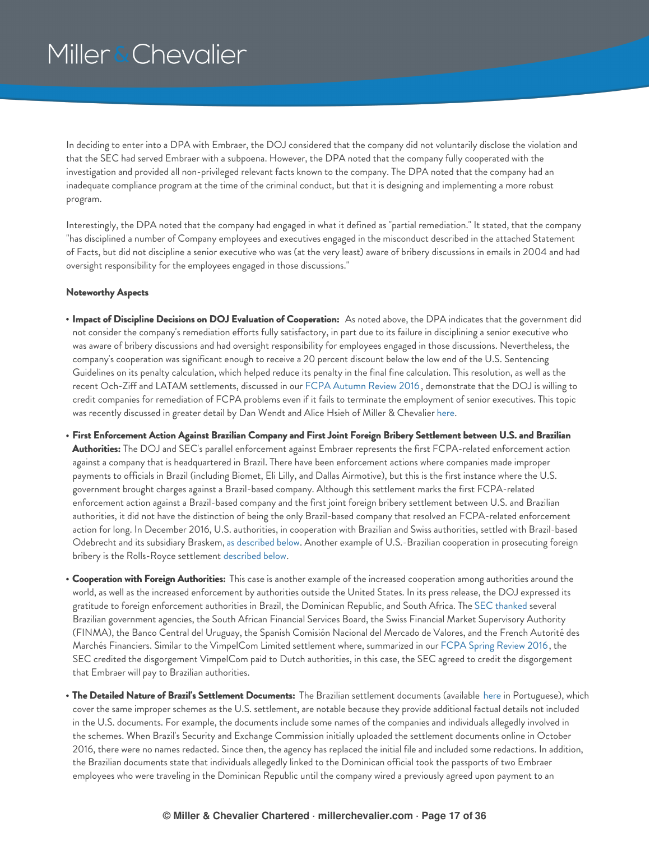In deciding to enter into a DPA with Embraer, the DOJ considered that the company did not voluntarily disclose the violation and that the SEC had served Embraer with a subpoena. However, the DPA noted that the company fully cooperated with the investigation and provided all non-privileged relevant facts known to the company. The DPA noted that the company had an inadequate compliance program at the time of the criminal conduct, but that it is designing and implementing a more robust program.

Interestingly, the DPA noted that the company had engaged in what it defined as "partial remediation." It stated, that the company "has disciplined a number of Company employees and executives engaged in the misconduct described in the attached Statement of Facts, but did not discipline a senior executive who was (at the very least) aware of bribery discussions in emails in 2004 and had oversight responsibility for the employees engaged in those discussions."

#### **Noteworthy Aspects**

- **Impact of Discipline Decisions on DOJ Evaluation of Cooperation:** As noted above, the DPA indicates that the government did not consider the company's remediation efforts fully satisfactory, in part due to its failure in disciplining a senior executive who was aware of bribery discussions and had oversight responsibility for employees engaged in those discussions. Nevertheless, the company's cooperation was significant enough to receive a 20 percent discount below the low end of the U.S. Sentencing Guidelines on its penalty calculation, which helped reduce its penalty in the final fine calculation. This resolution, as well as the recent Och-Ziff and LATAM settlements, discussed in our FCPA [Autumn](https://www.millerchevalier.com/node/15563#LATAM) Review 2016 , demonstrate that the DOJ is willing to credit companies for remediation of FCPA problems even if it fails to terminate the employment of senior executives. This topic was recently discussed in greater detail by Dan Wendt and Alice Hsieh of Miller & Chevalier [here](http://ww2.cfo.com/ethics/2017/01/executives-fcpa-can-fear-less/).
- First Enforcement Action Against Brazilian Company and First Joint Foreign Bribery Settlement between U.S. and Brazilian **Authorities:** The DOJ and SEC's parallel enforcement against Embraer represents the first FCPA-related enforcement action against a company that is headquartered in Brazil. There have been enforcement actions where companies made improper payments to officials in Brazil (including Biomet, Eli Lilly, and Dallas Airmotive), but this is the first instance where the U.S. government brought charges against a Brazil-based company. Although this settlement marks the first FCPA-related enforcement action against a Brazil-based company and the first joint foreign bribery settlement between U.S. and Brazilian authorities, it did not have the distinction of being the only Brazil-based company that resolved an FCPA-related enforcement action for long. In December 2016, U.S. authorities, in cooperation with Brazilian and Swiss authorities, settled with Brazil-based Odebrecht and its subsidiary Braskem, as [described](#page-20-0) below. Another example of U.S.-Brazilian cooperation in prosecuting foreign bribery is the Rolls-Royce settlement [described](#page-27-0) below.
- **Cooperation with Foreign Authorities:** This case is another example of the increased cooperation among authorities around the world, as well as the increased enforcement by authorities outside the United States. In its press release, the DOJ expressed its gratitude to foreign enforcement authorities in Brazil, the Dominican Republic, and South Africa. The SEC [thanked](https://www.sec.gov/news/pressrelease/2016-224.html) several Brazilian government agencies, the South African Financial Services Board, the Swiss Financial Market Supervisory Authority (FINMA), the Banco Central del Uruguay, the Spanish Comisión Nacional del Mercado de Valores, and the French Autorité des Marchés Financiers. Similar to the VimpelCom Limited settlement where, summarized in our FCPA Spring [Review](https://www.millerchevalier.com/node/15542#VimpelCom) 2016, the SEC credited the disgorgement VimpelCom paid to Dutch authorities, in this case, the SEC agreed to credit the disgorgement that Embraer will pay to Brazilian authorities.
- **The Detailed Nature of Brazil's Settlement Documents:** The Brazilian settlement documents (available [here](http://www.cvm.gov.br/export/sites/cvm/noticias/anexos/2016/20161024-tcacembraer_v2.pdf) in Portuguese), which cover the same improper schemes as the U.S. settlement, are notable because they provide additional factual details not included in the U.S. documents. For example, the documents include some names of the companies and individuals allegedly involved in the schemes. When Brazil's Security and Exchange Commission initially uploaded the settlement documents online in October 2016, there were no names redacted. Since then, the agency has replaced the initial file and included some redactions. In addition, the Brazilian documents state that individuals allegedly linked to the Dominican official took the passports of two Embraer employees who were traveling in the Dominican Republic until the company wired a previously agreed upon payment to an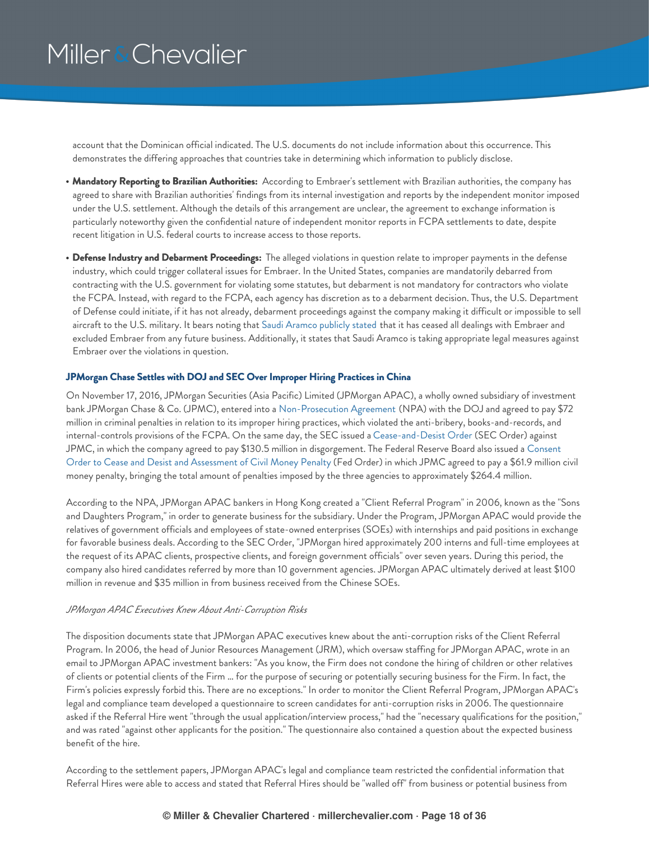account that the Dominican official indicated. The U.S. documents do not include information about this occurrence. This demonstrates the differing approaches that countries take in determining which information to publicly disclose.

- **Mandatory Reporting to Brazilian Authorities:** According to Embraer's settlement with Brazilian authorities, the company has agreed to share with Brazilian authorities' findings from its internal investigation and reports by the independent monitor imposed under the U.S. settlement. Although the details of this arrangement are unclear, the agreement to exchange information is particularly noteworthy given the confidential nature of independent monitor reports in FCPA settlements to date, despite recent litigation in U.S. federal courts to increase access to those reports.
- **Defense Industry and Debarment Proceedings:** The alleged violations in question relate to improper payments in the defense industry, which could trigger collateral issues for Embraer. In the United States, companies are mandatorily debarred from contracting with the U.S. government for violating some statutes, but debarment is not mandatory for contractors who violate the FCPA. Instead, with regard to the FCPA, each agency has discretion as to a debarment decision. Thus, the U.S. Department of Defense could initiate, if it has not already, debarment proceedings against the company making it difficult or impossible to sell aircraft to the U.S. military. It bears noting that Saudi [Aramco](http://www.saudiaramco.com/en/home/news-media/news/embraer.html) publicly stated that it has ceased all dealings with Embraer and excluded Embraer from any future business. Additionally, it states that Saudi Aramco is taking appropriate legal measures against Embraer over the violations in question.

### <span id="page-17-0"></span>**JPMorgan Chase Settles with DOJ and SEC Over Improper Hiring Practices in China**

On November 17, 2016, JPMorgan Securities (Asia Pacific) Limited (JPMorgan APAC), a wholly owned subsidiary of investment bank JPMorgan Chase & Co. (JPMC), entered into a [Non-Prosecution](https://www.justice.gov/opa/press-release/file/911206/download) Agreement (NPA) with the DOJ and agreed to pay \$72 million in criminal penalties in relation to its improper hiring practices, which violated the anti-bribery, books-and-records, and internal-controls provisions of the FCPA. On the same day, the SEC issued a [Cease-and-Desist](https://www.sec.gov/litigation/admin/2016/34-79335.pdf) Order (SEC Order) against JPMC, in which the company agreed to pay \$130.5 million in [disgorgement.](https://www.federalreserve.gov/newsevents/press/enforcement/enf2016117a1.pdf) The Federal Reserve Board also issued a Consent Order to Cease and Desist and Assessment of Civil Money Penalty (Fed Order) in which JPMC agreed to pay a \$61.9 million civil money penalty, bringing the total amount of penalties imposed by the three agencies to approximately \$264.4 million.

According to the NPA, JPMorgan APAC bankers in Hong Kong created a "Client Referral Program" in 2006, known as the "Sons and Daughters Program," in order to generate business for the subsidiary. Under the Program, JPMorgan APAC would provide the relatives of government officials and employees of state-owned enterprises (SOEs) with internships and paid positions in exchange for favorable business deals. According to the SEC Order, "JPMorgan hired approximately 200 interns and full-time employees at the request of its APAC clients, prospective clients, and foreign government officials" over seven years. During this period, the company also hired candidates referred by more than 10 government agencies. JPMorgan APAC ultimately derived at least \$100 million in revenue and \$35 million in from business received from the Chinese SOEs.

#### *JPMorgan APAC Executives Knew About Anti-Corruption Risks*

The disposition documents state that JPMorgan APAC executives knew about the anti-corruption risks of the Client Referral Program. In 2006, the head of Junior Resources Management (JRM), which oversaw staffing for JPMorgan APAC, wrote in an email to JPMorgan APAC investment bankers: "As you know, the Firm does not condone the hiring of children or other relatives of clients or potential clients of the Firm … for the purpose of securing or potentially securing business for the Firm. In fact, the Firm's policies expressly forbid this. There are no exceptions." In order to monitor the Client Referral Program, JPMorgan APAC's legal and compliance team developed a questionnaire to screen candidates for anti-corruption risks in 2006. The questionnaire asked if the Referral Hire went "through the usual application/interview process," had the "necessary qualifications for the position," and was rated "against other applicants for the position." The questionnaire also contained a question about the expected business benefit of the hire.

According to the settlement papers, JPMorgan APAC's legal and compliance team restricted the confidential information that Referral Hires were able to access and stated that Referral Hires should be "walled off" from business or potential business from

#### **© Miller & Chevalier Chartered · millerchevalier.com · Page 18 of 36**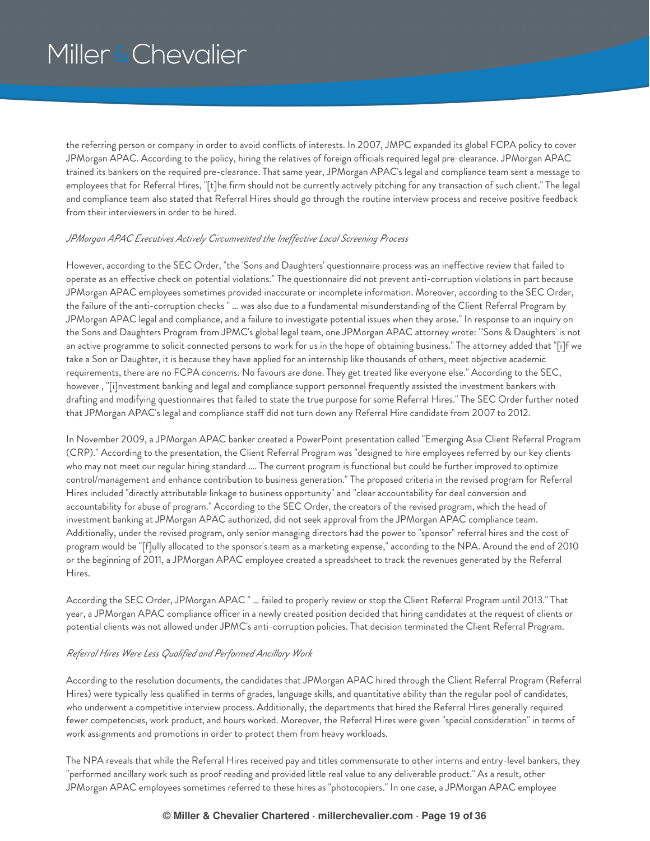the referring person or company in order to avoid conflicts of interests. In 2007, JMPC expanded its global FCPA policy to cover JPMorgan APAC. According to the policy, hiring the relatives of foreign officials required legal pre-clearance. JPMorgan APAC trained its bankers on the required pre-clearance. That same year, JPMorgan APAC's legal and compliance team sent a message to employees that for Referral Hires, "[t]he firm should not be currently actively pitching for any transaction of such client." The legal and compliance team also stated that Referral Hires should go through the routine interview process and receive positive feedback from their interviewers in order to be hired.

#### *JPMorgan APAC Executives Actively Circumvented the Inef ective Local Screening Process*

However, according to the SEC Order, "the 'Sons and Daughters' questionnaire process was an ineffective review that failed to operate as an effective check on potential violations." The questionnaire did not prevent anti-corruption violations in part because JPMorgan APAC employees sometimes provided inaccurate or incomplete information. Moreover, according to the SEC Order, the failure of the anti-corruption checks " … was also due to a fundamental misunderstanding of the Client Referral Program by JPMorgan APAC legal and compliance, and a failure to investigate potential issues when they arose." In response to an inquiry on the Sons and Daughters Program from JPMC's global legal team, one JPMorgan APAC attorney wrote: "'Sons & Daughters' is not an active programme to solicit connected persons to work for us in the hope of obtaining business." The attorney added that "[i]f we take a Son or Daughter, it is because they have applied for an internship like thousands of others, meet objective academic requirements, there are no FCPA concerns. No favours are done. They get treated like everyone else." According to the SEC, however , "[i]nvestment banking and legal and compliance support personnel frequently assisted the investment bankers with drafting and modifying questionnaires that failed to state the true purpose for some Referral Hires." The SEC Order further noted that JPMorgan APAC's legal and compliance staff did not turn down any Referral Hire candidate from 2007 to 2012.

In November 2009, a JPMorgan APAC banker created a PowerPoint presentation called "Emerging Asia Client Referral Program (CRP)." According to the presentation, the Client Referral Program was "designed to hire employees referred by our key clients who may not meet our regular hiring standard …. The current program is functional but could be further improved to optimize control/management and enhance contribution to business generation." The proposed criteria in the revised program for Referral Hires included "directly attributable linkage to business opportunity" and "clear accountability for deal conversion and accountability for abuse of program." According to the SEC Order, the creators of the revised program, which the head of investment banking at JPMorgan APAC authorized, did not seek approval from the JPMorgan APAC compliance team. Additionally, under the revised program, only senior managing directors had the power to "sponsor" referral hires and the cost of program would be "[f]ully allocated to the sponsor's team as a marketing expense," according to the NPA. Around the end of 2010 or the beginning of 2011, a JPMorgan APAC employee created a spreadsheet to track the revenues generated by the Referral Hires.

According the SEC Order, JPMorgan APAC " … failed to properly review or stop the Client Referral Program until 2013." That year, a JPMorgan APAC compliance officer in a newly created position decided that hiring candidates at the request of clients or potential clients was not allowed under JPMC's anti-corruption policies. That decision terminated the Client Referral Program.

### *Referral Hires Were Less Qualified and Performed Ancillary Work*

According to the resolution documents, the candidates that JPMorgan APAC hired through the Client Referral Program (Referral Hires) were typically less qualified in terms of grades, language skills, and quantitative ability than the regular pool of candidates, who underwent a competitive interview process. Additionally, the departments that hired the Referral Hires generally required fewer competencies, work product, and hours worked. Moreover, the Referral Hires were given "special consideration" in terms of work assignments and promotions in order to protect them from heavy workloads.

The NPA reveals that while the Referral Hires received pay and titles commensurate to other interns and entry-level bankers, they "performed ancillary work such as proof reading and provided little real value to any deliverable product." As a result, other JPMorgan APAC employees sometimes referred to these hires as "photocopiers." In one case, a JPMorgan APAC employee

### **© Miller & Chevalier Chartered · millerchevalier.com · Page 19 of 36**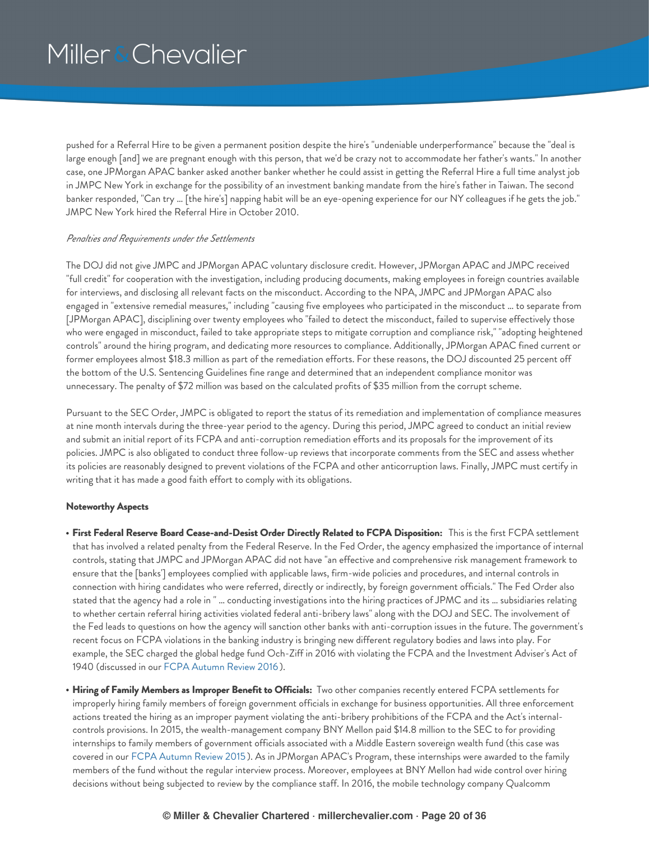pushed for a Referral Hire to be given a permanent position despite the hire's "undeniable underperformance" because the "deal is large enough [and] we are pregnant enough with this person, that we'd be crazy not to accommodate her father's wants." In another case, one JPMorgan APAC banker asked another banker whether he could assist in getting the Referral Hire a full time analyst job in JMPC New York in exchange for the possibility of an investment banking mandate from the hire's father in Taiwan. The second banker responded, "Can try … [the hire's] napping habit will be an eye-opening experience for our NY colleagues if he gets the job." JMPC New York hired the Referral Hire in October 2010.

### *Penalties and Requirements under the Settlements*

The DOJ did not give JMPC and JPMorgan APAC voluntary disclosure credit. However, JPMorgan APAC and JMPC received "full credit" for cooperation with the investigation, including producing documents, making employees in foreign countries available for interviews, and disclosing all relevant facts on the misconduct. According to the NPA, JMPC and JPMorgan APAC also engaged in "extensive remedial measures," including "causing five employees who participated in the misconduct … to separate from [JPMorgan APAC], disciplining over twenty employees who "failed to detect the misconduct, failed to supervise effectively those who were engaged in misconduct, failed to take appropriate steps to mitigate corruption and compliance risk," "adopting heightened controls" around the hiring program, and dedicating more resources to compliance. Additionally, JPMorgan APAC fined current or former employees almost \$18.3 million as part of the remediation efforts. For these reasons, the DOJ discounted 25 percent off the bottom of the U.S. Sentencing Guidelines fine range and determined that an independent compliance monitor was unnecessary. The penalty of \$72 million was based on the calculated profits of \$35 million from the corrupt scheme.

Pursuant to the SEC Order, JMPC is obligated to report the status of its remediation and implementation of compliance measures at nine month intervals during the three-year period to the agency. During this period, JMPC agreed to conduct an initial review and submit an initial report of its FCPA and anti-corruption remediation efforts and its proposals for the improvement of its policies. JMPC is also obligated to conduct three follow-up reviews that incorporate comments from the SEC and assess whether its policies are reasonably designed to prevent violations of the FCPA and other anticorruption laws. Finally, JMPC must certify in writing that it has made a good faith effort to comply with its obligations.

### **Noteworthy Aspects**

- **First Federal Reserve Board Cease-and-Desist Order Directly Related to FCPA Disposition:** This is the first FCPA settlement that has involved a related penalty from the Federal Reserve. In the Fed Order, the agency emphasized the importance of internal controls, stating that JMPC and JPMorgan APAC did not have "an effective and comprehensive risk management framework to ensure that the [banks'] employees complied with applicable laws, firm-wide policies and procedures, and internal controls in connection with hiring candidates who were referred, directly or indirectly, by foreign government officials." The Fed Order also stated that the agency had a role in " … conducting investigations into the hiring practices of JPMC and its … subsidiaries relating to whether certain referral hiring activities violated federal anti-bribery laws" along with the DOJ and SEC. The involvement of the Fed leads to questions on how the agency will sanction other banks with anti-corruption issues in the future. The government's recent focus on FCPA violations in the banking industry is bringing new different regulatory bodies and laws into play. For example, the SEC charged the global hedge fund Och-Ziff in 2016 with violating the FCPA and the Investment Adviser's Act of 1940 (discussed in our FCPA [Autumn](https://www.millerchevalier.com/node/15563) Review 2016 ).
- **Hiring of Family Members as Improper Benefit to Officials:** Two other companies recently entered FCPA settlements for improperly hiring family members of foreign government officials in exchange for business opportunities. All three enforcement actions treated the hiring as an improper payment violating the anti-bribery prohibitions of the FCPA and the Act's internalcontrols provisions. In 2015, the wealth-management company BNY Mellon paid \$14.8 million to the SEC to for providing internships to family members of government officials associated with a Middle Eastern sovereign wealth fund (this case was covered in our FCPA [Autumn](https://www.millerchevalier.com/node/15523#BNY) Review 2015 ). As in JPMorgan APAC's Program, these internships were awarded to the family members of the fund without the regular interview process. Moreover, employees at BNY Mellon had wide control over hiring decisions without being subjected to review by the compliance staff. In 2016, the mobile technology company Qualcomm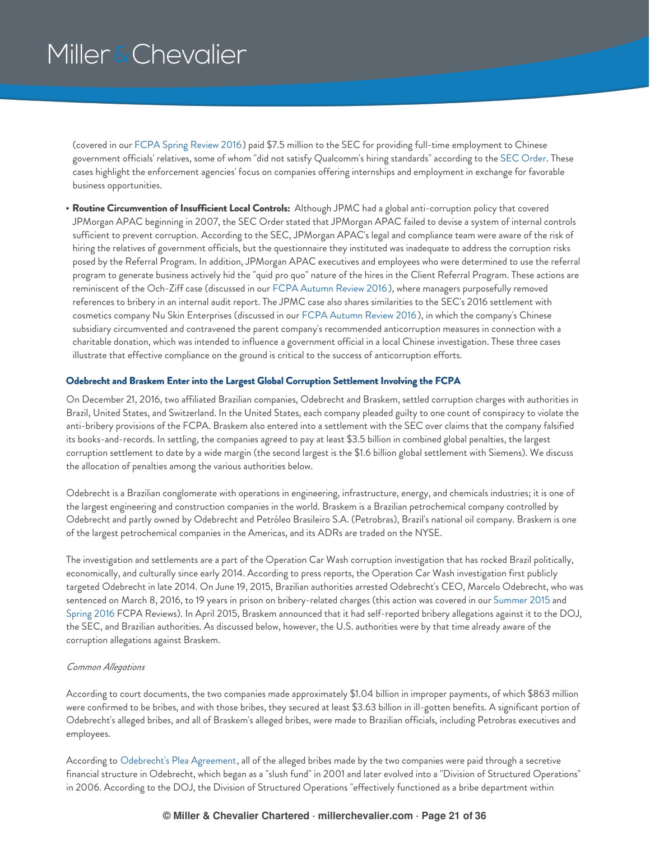(covered in our FCPA Spring [Review](https://www.millerchevalier.com/node/15542#Qualcomm) 2016) paid \$7.5 million to the SEC for providing full-time employment to Chinese government officials' relatives, some of whom "did not satisfy Qualcomm's hiring standards" according to the SEC [Order](https://www.sec.gov/litigation/admin/2016/34-77261.pdf). These cases highlight the enforcement agencies' focus on companies offering internships and employment in exchange for favorable business opportunities.

**Routine Circumvention of Insufficient Local Controls:** Although JPMC had a global anti-corruption policy that covered JPMorgan APAC beginning in 2007, the SEC Order stated that JPMorgan APAC failed to devise a system of internal controls sufficient to prevent corruption. According to the SEC, JPMorgan APAC's legal and compliance team were aware of the risk of hiring the relatives of government officials, but the questionnaire they instituted was inadequate to address the corruption risks posed by the Referral Program. In addition, JPMorgan APAC executives and employees who were determined to use the referral program to generate business actively hid the "quid pro quo" nature of the hires in the Client Referral Program. These actions are reminiscent of the Och-Ziff case (discussed in our FCPA [Autumn](https://www.millerchevalier.com/node/15563#OchZiffCEO) Review 2016 ), where managers purposefully removed references to bribery in an internal audit report. The JPMC case also shares similarities to the SEC's 2016 settlement with cosmetics company Nu Skin Enterprises (discussed in our FCPA [Autumn](https://www.millerchevalier.com/node/15563) Review 2016 ), in which the company's Chinese subsidiary circumvented and contravened the parent company's recommended anticorruption measures in connection with a charitable donation, which was intended to influence a government official in a local Chinese investigation. These three cases illustrate that effective compliance on the ground is critical to the success of anticorruption efforts.

#### <span id="page-20-0"></span>**Odebrecht and Braskem Enter into the Largest Global Corruption Settlement Involving the FCPA**

On December 21, 2016, two affiliated Brazilian companies, Odebrecht and Braskem, settled corruption charges with authorities in Brazil, United States, and Switzerland. In the United States, each company pleaded guilty to one count of conspiracy to violate the anti-bribery provisions of the FCPA. Braskem also entered into a settlement with the SEC over claims that the company falsified its books-and-records. In settling, the companies agreed to pay at least \$3.5 billion in combined global penalties, the largest corruption settlement to date by a wide margin (the second largest is the \$1.6 billion global settlement with Siemens). We discuss the allocation of penalties among the various authorities below.

Odebrecht is a Brazilian conglomerate with operations in engineering, infrastructure, energy, and chemicals industries; it is one of the largest engineering and construction companies in the world. Braskem is a Brazilian petrochemical company controlled by Odebrecht and partly owned by Odebrecht and Petróleo Brasileiro S.A. (Petrobras), Brazil's national oil company. Braskem is one of the largest petrochemical companies in the Americas, and its ADRs are traded on the NYSE.

The investigation and settlements are a part of the Operation Car Wash corruption investigation that has rocked Brazil politically, economically, and culturally since early 2014. According to press reports, the Operation Car Wash investigation first publicly targeted Odebrecht in late 2014. On June 19, 2015, Brazilian authorities arrested Odebrecht's CEO, Marcelo Odebrecht, who was sentenced on March 8, 2016, to 19 years in prison on bribery-related charges (this action was covered in our [Summer](https://www.millerchevalier.com/node/15513#Petrobras) 2015 and [Spring](https://www.millerchevalier.com/node/15542#Brazil) 2016 FCPA Reviews). In April 2015, Braskem announced that it had self-reported bribery allegations against it to the DOJ, the SEC, and Brazilian authorities. As discussed below, however, the U.S. authorities were by that time already aware of the corruption allegations against Braskem.

#### *Common Allegations*

According to court documents, the two companies made approximately \$1.04 billion in improper payments, of which \$863 million were confirmed to be bribes, and with those bribes, they secured at least \$3.63 billion in ill-gotten benefits. A significant portion of Odebrecht's alleged bribes, and all of Braskem's alleged bribes, were made to Brazilian officials, including Petrobras executives and employees.

According to [Odebrecht's](https://www.millerchevalier.com/sites/default/files/resources/FCPAReview/FCPAReviewWinter2017_OdebrechtDOJPleaAgreement.pdf) Plea Agreement, all of the alleged bribes made by the two companies were paid through a secretive financial structure in Odebrecht, which began as a "slush fund" in 2001 and later evolved into a "Division of Structured Operations" in 2006. According to the DOJ, the Division of Structured Operations "effectively functioned as a bribe department within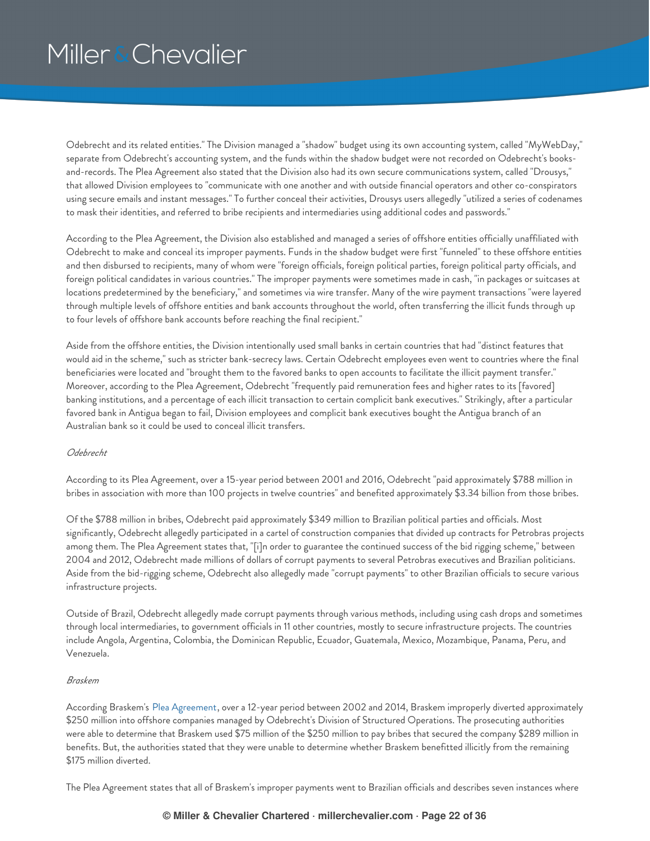Odebrecht and its related entities." The Division managed a "shadow" budget using its own accounting system, called "MyWebDay," separate from Odebrecht's accounting system, and the funds within the shadow budget were not recorded on Odebrecht's booksand-records. The Plea Agreement also stated that the Division also had its own secure communications system, called "Drousys," that allowed Division employees to "communicate with one another and with outside financial operators and other co-conspirators using secure emails and instant messages." To further conceal their activities, Drousys users allegedly "utilized a series of codenames to mask their identities, and referred to bribe recipients and intermediaries using additional codes and passwords."

According to the Plea Agreement, the Division also established and managed a series of offshore entities officially unaffiliated with Odebrecht to make and conceal its improper payments. Funds in the shadow budget were first "funneled" to these offshore entities and then disbursed to recipients, many of whom were "foreign officials, foreign political parties, foreign political party officials, and foreign political candidates in various countries." The improper payments were sometimes made in cash, "in packages or suitcases at locations predetermined by the beneficiary," and sometimes via wire transfer. Many of the wire payment transactions "were layered through multiple levels of offshore entities and bank accounts throughout the world, often transferring the illicit funds through up to four levels of offshore bank accounts before reaching the final recipient."

Aside from the offshore entities, the Division intentionally used small banks in certain countries that had "distinct features that would aid in the scheme," such as stricter bank-secrecy laws. Certain Odebrecht employees even went to countries where the final beneficiaries were located and "brought them to the favored banks to open accounts to facilitate the illicit payment transfer." Moreover, according to the Plea Agreement, Odebrecht "frequently paid remuneration fees and higher rates to its [favored] banking institutions, and a percentage of each illicit transaction to certain complicit bank executives." Strikingly, after a particular favored bank in Antigua began to fail, Division employees and complicit bank executives bought the Antigua branch of an Australian bank so it could be used to conceal illicit transfers.

### *Odebrecht*

According to its Plea Agreement, over a 15-year period between 2001 and 2016, Odebrecht "paid approximately \$788 million in bribes in association with more than 100 projects in twelve countries" and benefited approximately \$3.34 billion from those bribes.

Of the \$788 million in bribes, Odebrecht paid approximately \$349 million to Brazilian political parties and officials. Most significantly, Odebrecht allegedly participated in a cartel of construction companies that divided up contracts for Petrobras projects among them. The Plea Agreement states that, "[i]n order to guarantee the continued success of the bid rigging scheme," between 2004 and 2012, Odebrecht made millions of dollars of corrupt payments to several Petrobras executives and Brazilian politicians. Aside from the bid-rigging scheme, Odebrecht also allegedly made "corrupt payments" to other Brazilian officials to secure various infrastructure projects.

Outside of Brazil, Odebrecht allegedly made corrupt payments through various methods, including using cash drops and sometimes through local intermediaries, to government officials in 11 other countries, mostly to secure infrastructure projects. The countries include Angola, Argentina, Colombia, the Dominican Republic, Ecuador, Guatemala, Mexico, Mozambique, Panama, Peru, and Venezuela.

### *Braskem*

According Braskem's Plea [Agreement](https://www.millerchevalier.com/sites/default/files/resources/FCPAReview/FCPAReviewWinter2017_BraskemDOJPleaAgreement.pdf), over a 12-year period between 2002 and 2014, Braskem improperly diverted approximately \$250 million into offshore companies managed by Odebrecht's Division of Structured Operations. The prosecuting authorities were able to determine that Braskem used \$75 million of the \$250 million to pay bribes that secured the company \$289 million in benefits. But, the authorities stated that they were unable to determine whether Braskem benefitted illicitly from the remaining \$175 million diverted.

The Plea Agreement states that all of Braskem's improper payments went to Brazilian officials and describes seven instances where

### **© Miller & Chevalier Chartered · millerchevalier.com · Page 22 of 36**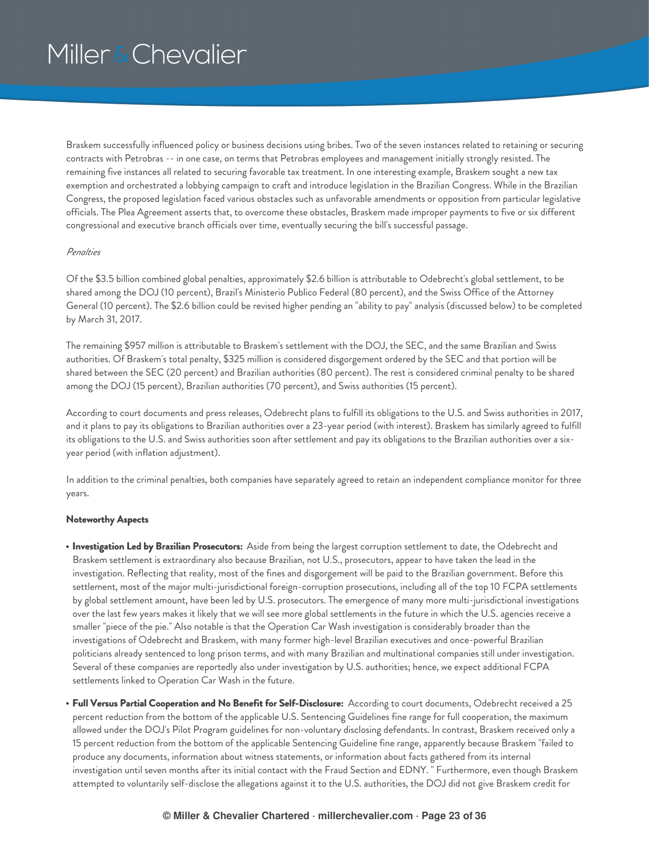Braskem successfully influenced policy or business decisions using bribes. Two of the seven instances related to retaining or securing contracts with Petrobras -- in one case, on terms that Petrobras employees and management initially strongly resisted. The remaining five instances all related to securing favorable tax treatment. In one interesting example, Braskem sought a new tax exemption and orchestrated a lobbying campaign to craft and introduce legislation in the Brazilian Congress. While in the Brazilian Congress, the proposed legislation faced various obstacles such as unfavorable amendments or opposition from particular legislative officials. The Plea Agreement asserts that, to overcome these obstacles, Braskem made improper payments to five or six different congressional and executive branch officials over time, eventually securing the bill's successful passage.

### *Penalties*

Of the \$3.5 billion combined global penalties, approximately \$2.6 billion is attributable to Odebrecht's global settlement, to be shared among the DOJ (10 percent), Brazil's Ministerio Publico Federal (80 percent), and the Swiss Office of the Attorney General (10 percent). The \$2.6 billion could be revised higher pending an "ability to pay" analysis (discussed below) to be completed by March 31, 2017.

The remaining \$957 million is attributable to Braskem's settlement with the DOJ, the SEC, and the same Brazilian and Swiss authorities. Of Braskem's total penalty, \$325 million is considered disgorgement ordered by the SEC and that portion will be shared between the SEC (20 percent) and Brazilian authorities (80 percent). The rest is considered criminal penalty to be shared among the DOJ (15 percent), Brazilian authorities (70 percent), and Swiss authorities (15 percent).

According to court documents and press releases, Odebrecht plans to fulfill its obligations to the U.S. and Swiss authorities in 2017, and it plans to pay its obligations to Brazilian authorities over a 23-year period (with interest). Braskem has similarly agreed to fulfill its obligations to the U.S. and Swiss authorities soon after settlement and pay its obligations to the Brazilian authorities over a sixyear period (with inflation adjustment).

In addition to the criminal penalties, both companies have separately agreed to retain an independent compliance monitor for three years.

### **Noteworthy Aspects**

- **Investigation Led by Brazilian Prosecutors:** Aside from being the largest corruption settlement to date, the Odebrecht and Braskem settlement is extraordinary also because Brazilian, not U.S., prosecutors, appear to have taken the lead in the investigation. Reflecting that reality, most of the fines and disgorgement will be paid to the Brazilian government. Before this settlement, most of the major multi-jurisdictional foreign-corruption prosecutions, including all of the top 10 FCPA settlements by global settlement amount, have been led by U.S. prosecutors. The emergence of many more multi-jurisdictional investigations over the last few years makes it likely that we will see more global settlements in the future in which the U.S. agencies receive a smaller "piece of the pie." Also notable is that the Operation Car Wash investigation is considerably broader than the investigations of Odebrecht and Braskem, with many former high-level Brazilian executives and once-powerful Brazilian politicians already sentenced to long prison terms, and with many Brazilian and multinational companies still under investigation. Several of these companies are reportedly also under investigation by U.S. authorities; hence, we expect additional FCPA settlements linked to Operation Car Wash in the future.
- **Full Versus Partial Cooperation and No Benefit for Self-Disclosure:** According to court documents, Odebrecht received a 25 percent reduction from the bottom of the applicable U.S. Sentencing Guidelines fine range for full cooperation, the maximum allowed under the DOJ's Pilot Program guidelines for non-voluntary disclosing defendants. In contrast, Braskem received only a 15 percent reduction from the bottom of the applicable Sentencing Guideline fine range, apparently because Braskem "failed to produce any documents, information about witness statements, or information about facts gathered from its internal investigation until seven months after its initial contact with the Fraud Section and EDNY. " Furthermore, even though Braskem attempted to voluntarily self-disclose the allegations against it to the U.S. authorities, the DOJ did not give Braskem credit for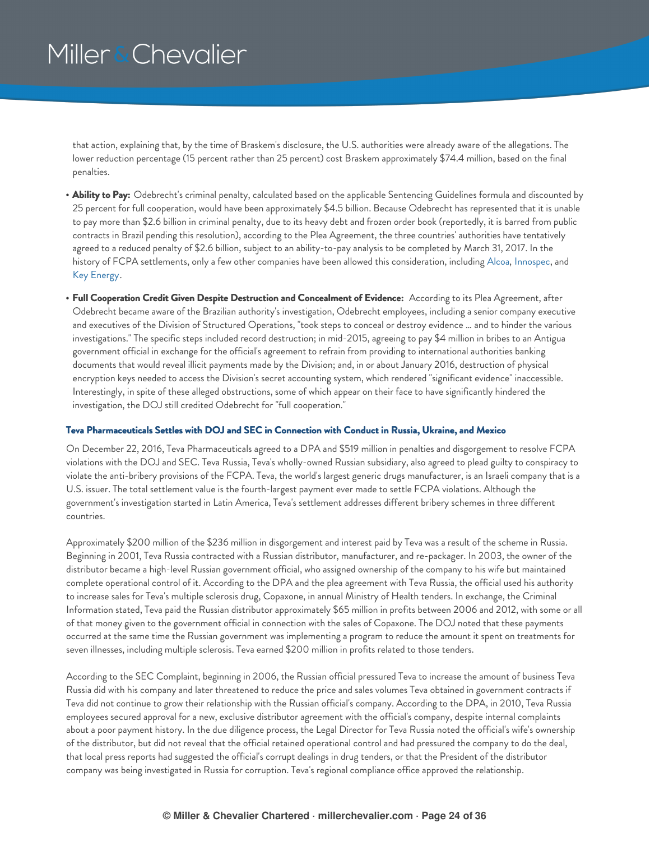that action, explaining that, by the time of Braskem's disclosure, the U.S. authorities were already aware of the allegations. The lower reduction percentage (15 percent rather than 25 percent) cost Braskem approximately \$74.4 million, based on the final penalties.

- **Ability to Pay:** Odebrecht's criminal penalty, calculated based on the applicable Sentencing Guidelines formula and discounted by 25 percent for full cooperation, would have been approximately \$4.5 billion. Because Odebrecht has represented that it is unable to pay more than \$2.6 billion in criminal penalty, due to its heavy debt and frozen order book (reportedly, it is barred from public contracts in Brazil pending this resolution), according to the Plea Agreement, the three countries' authorities have tentatively agreed to a reduced penalty of \$2.6 billion, subject to an ability-to-pay analysis to be completed by March 31, 2017. In the history of FCPA settlements, only a few other companies have been allowed this consideration, including [Alcoa](https://www.millerchevalier.com/node/15488#Alcoa), [Innospec](https://www.millerchevalier.com/node/15385#Innospec), and Key [Energy](https://www.millerchevalier.com/node/15563#KeyEnergy).
- **Full Cooperation Credit Given Despite Destruction and Concealment of Evidence:** According to its Plea Agreement, after Odebrecht became aware of the Brazilian authority's investigation, Odebrecht employees, including a senior company executive and executives of the Division of Structured Operations, "took steps to conceal or destroy evidence … and to hinder the various investigations." The specific steps included record destruction; in mid-2015, agreeing to pay \$4 million in bribes to an Antigua government official in exchange for the official's agreement to refrain from providing to international authorities banking documents that would reveal illicit payments made by the Division; and, in or about January 2016, destruction of physical encryption keys needed to access the Division's secret accounting system, which rendered "significant evidence" inaccessible. Interestingly, in spite of these alleged obstructions, some of which appear on their face to have significantly hindered the investigation, the DOJ still credited Odebrecht for "full cooperation."

### <span id="page-23-0"></span>**Teva Pharmaceuticals Settles with DOJ and SEC in Connection with Conduct in Russia, Ukraine, and Mexico**

On December 22, 2016, Teva Pharmaceuticals agreed to a DPA and \$519 million in penalties and disgorgement to resolve FCPA violations with the DOJ and SEC. Teva Russia, Teva's wholly-owned Russian subsidiary, also agreed to plead guilty to conspiracy to violate the anti-bribery provisions of the FCPA. Teva, the world's largest generic drugs manufacturer, is an Israeli company that is a U.S. issuer. The total settlement value is the fourth-largest payment ever made to settle FCPA violations. Although the government's investigation started in Latin America, Teva's settlement addresses different bribery schemes in three different countries.

Approximately \$200 million of the \$236 million in disgorgement and interest paid by Teva was a result of the scheme in Russia. Beginning in 2001, Teva Russia contracted with a Russian distributor, manufacturer, and re-packager. In 2003, the owner of the distributor became a high-level Russian government official, who assigned ownership of the company to his wife but maintained complete operational control of it. According to the DPA and the plea agreement with Teva Russia, the official used his authority to increase sales for Teva's multiple sclerosis drug, Copaxone, in annual Ministry of Health tenders. In exchange, the Criminal Information stated, Teva paid the Russian distributor approximately \$65 million in profits between 2006 and 2012, with some or all of that money given to the government official in connection with the sales of Copaxone. The DOJ noted that these payments occurred at the same time the Russian government was implementing a program to reduce the amount it spent on treatments for seven illnesses, including multiple sclerosis. Teva earned \$200 million in profits related to those tenders.

According to the SEC Complaint, beginning in 2006, the Russian official pressured Teva to increase the amount of business Teva Russia did with his company and later threatened to reduce the price and sales volumes Teva obtained in government contracts if Teva did not continue to grow their relationship with the Russian official's company. According to the DPA, in 2010, Teva Russia employees secured approval for a new, exclusive distributor agreement with the official's company, despite internal complaints about a poor payment history. In the due diligence process, the Legal Director for Teva Russia noted the official's wife's ownership of the distributor, but did not reveal that the official retained operational control and had pressured the company to do the deal, that local press reports had suggested the official's corrupt dealings in drug tenders, or that the President of the distributor company was being investigated in Russia for corruption. Teva's regional compliance office approved the relationship.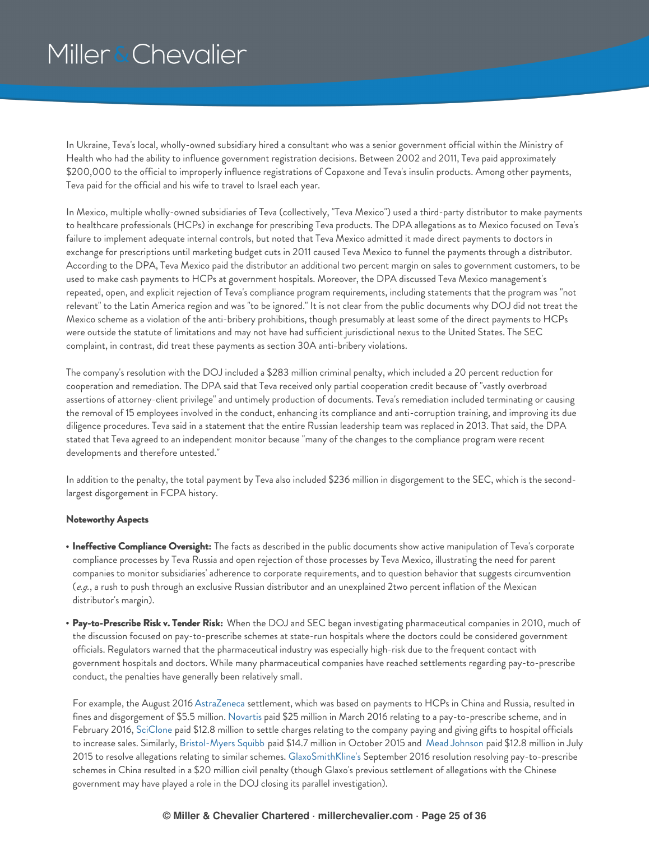In Ukraine, Teva's local, wholly-owned subsidiary hired a consultant who was a senior government official within the Ministry of Health who had the ability to influence government registration decisions. Between 2002 and 2011, Teva paid approximately \$200,000 to the official to improperly influence registrations of Copaxone and Teva's insulin products. Among other payments, Teva paid for the official and his wife to travel to Israel each year.

In Mexico, multiple wholly-owned subsidiaries of Teva (collectively, "Teva Mexico") used a third-party distributor to make payments to healthcare professionals (HCPs) in exchange for prescribing Teva products. The DPA allegations as to Mexico focused on Teva's failure to implement adequate internal controls, but noted that Teva Mexico admitted it made direct payments to doctors in exchange for prescriptions until marketing budget cuts in 2011 caused Teva Mexico to funnel the payments through a distributor. According to the DPA, Teva Mexico paid the distributor an additional two percent margin on sales to government customers, to be used to make cash payments to HCPs at government hospitals. Moreover, the DPA discussed Teva Mexico management's repeated, open, and explicit rejection of Teva's compliance program requirements, including statements that the program was "not relevant" to the Latin America region and was "to be ignored." It is not clear from the public documents why DOJ did not treat the Mexico scheme as a violation of the anti-bribery prohibitions, though presumably at least some of the direct payments to HCPs were outside the statute of limitations and may not have had sufficient jurisdictional nexus to the United States. The SEC complaint, in contrast, did treat these payments as section 30A anti-bribery violations.

The company's resolution with the DOJ included a \$283 million criminal penalty, which included a 20 percent reduction for cooperation and remediation. The DPA said that Teva received only partial cooperation credit because of "vastly overbroad assertions of attorney-client privilege" and untimely production of documents. Teva's remediation included terminating or causing the removal of 15 employees involved in the conduct, enhancing its compliance and anti-corruption training, and improving its due diligence procedures. Teva said in a statement that the entire Russian leadership team was replaced in 2013. That said, the DPA stated that Teva agreed to an independent monitor because "many of the changes to the compliance program were recent developments and therefore untested."

In addition to the penalty, the total payment by Teva also included \$236 million in disgorgement to the SEC, which is the secondlargest disgorgement in FCPA history.

### **Noteworthy Aspects**

- **Ineffective Compliance Oversight:** The facts as described in the public documents show active manipulation of Teva's corporate compliance processes by Teva Russia and open rejection of those processes by Teva Mexico, illustrating the need for parent companies to monitor subsidiaries' adherence to corporate requirements, and to question behavior that suggests circumvention (*e.g.*, a rush to push through an exclusive Russian distributor and an unexplained 2two percent inflation of the Mexican distributor's margin).
- **Pay-to-Prescribe Risk v. Tender Risk:** When the DOJ and SEC began investigating pharmaceutical companies in 2010, much of the discussion focused on pay-to-prescribe schemes at state-run hospitals where the doctors could be considered government officials. Regulators warned that the pharmaceutical industry was especially high-risk due to the frequent contact with government hospitals and doctors. While many pharmaceutical companies have reached settlements regarding pay-to-prescribe conduct, the penalties have generally been relatively small.

For example, the August 2016 [AstraZeneca](https://www.millerchevalier.com/node/15563#AstraZeneca) settlement, which was based on payments to HCPs in China and Russia, resulted in fines and disgorgement of \$5.5 million. [Novartis](https://www.millerchevalier.com/node/15542#Novartis) paid \$25 million in March 2016 relating to a pay-to-prescribe scheme, and in February 2016, [SciClone](https://www.millerchevalier.com/node/15542#SciClone_Pharma) paid \$12.8 million to settle charges relating to the company paying and giving gifts to hospital officials to increase sales. Similarly, [Bristol-Myers](https://www.millerchevalier.com/node/15532#BristolSettlement) Squibb paid \$14.7 million in October 2015 and Mead [Johnson](https://www.millerchevalier.com/node/15523#Mead) paid \$12.8 million in July 2015 to resolve allegations relating to similar schemes. [GlaxoSmithKline's](https://www.millerchevalier.com/node/15563#GSK) September 2016 resolution resolving pay-to-prescribe schemes in China resulted in a \$20 million civil penalty (though Glaxo's previous settlement of allegations with the Chinese government may have played a role in the DOJ closing its parallel investigation).

### **© Miller & Chevalier Chartered · millerchevalier.com · Page 25 of 36**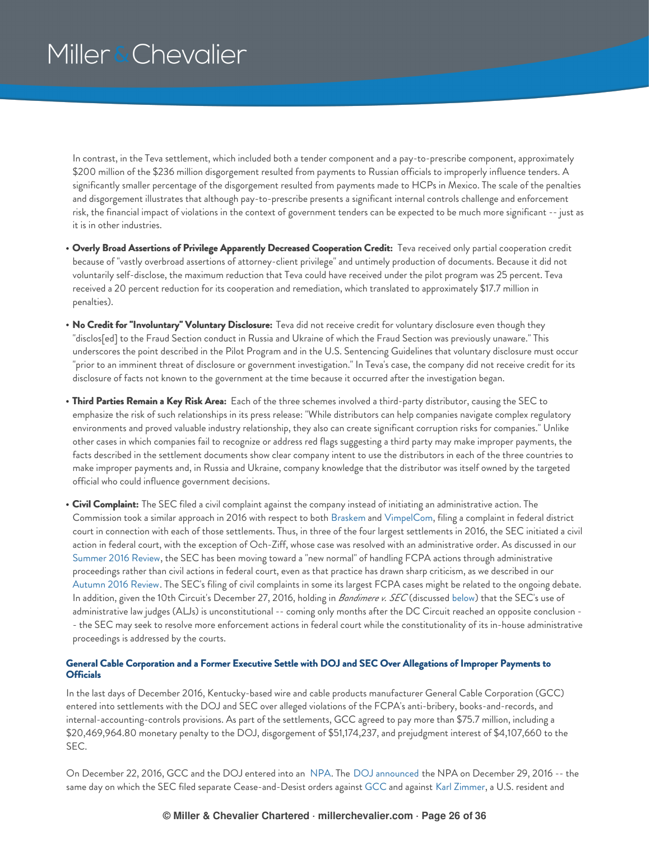In contrast, in the Teva settlement, which included both a tender component and a pay-to-prescribe component, approximately \$200 million of the \$236 million disgorgement resulted from payments to Russian officials to improperly influence tenders. A significantly smaller percentage of the disgorgement resulted from payments made to HCPs in Mexico. The scale of the penalties and disgorgement illustrates that although pay-to-prescribe presents a significant internal controls challenge and enforcement risk, the financial impact of violations in the context of government tenders can be expected to be much more significant -- just as it is in other industries.

- **Overly Broad Assertions of Privilege Apparently Decreased Cooperation Credit:** Teva received only partial cooperation credit because of "vastly overbroad assertions of attorney-client privilege" and untimely production of documents. Because it did not voluntarily self-disclose, the maximum reduction that Teva could have received under the pilot program was 25 percent. Teva received a 20 percent reduction for its cooperation and remediation, which translated to approximately \$17.7 million in penalties).
- **No Credit for "Involuntary" Voluntary Disclosure:** Teva did not receive credit for voluntary disclosure even though they "disclos[ed] to the Fraud Section conduct in Russia and Ukraine of which the Fraud Section was previously unaware." This underscores the point described in the Pilot Program and in the U.S. Sentencing Guidelines that voluntary disclosure must occur "prior to an imminent threat of disclosure or government investigation." In Teva's case, the company did not receive credit for its disclosure of facts not known to the government at the time because it occurred after the investigation began.
- **Third Parties Remain a Key Risk Area:** Each of the three schemes involved a third-party distributor, causing the SEC to emphasize the risk of such relationships in its press release: "While distributors can help companies navigate complex regulatory environments and proved valuable industry relationship, they also can create significant corruption risks for companies." Unlike other cases in which companies fail to recognize or address red flags suggesting a third party may make improper payments, the facts described in the settlement documents show clear company intent to use the distributors in each of the three countries to make improper payments and, in Russia and Ukraine, company knowledge that the distributor was itself owned by the targeted official who could influence government decisions.
- **Civil Complaint:** The SEC filed a civil complaint against the company instead of initiating an administrative action. The Commission took a similar approach in 2016 with respect to both [Braskem](#page-20-0) and [VimpelCom](https://www.millerchevalier.com/node/15542#VimpelCom), filing a complaint in federal district court in connection with each of those settlements. Thus, in three of the four largest settlements in 2016, the SEC initiated a civil action in federal court, with the exception of Och-Ziff, whose case was resolved with an administrative order. As discussed in our [Summer](https://www.millerchevalier.com/node/15551#Circuits) 2016 Review, the SEC has been moving toward a "new normal" of handling FCPA actions through administrative proceedings rather than civil actions in federal court, even as that practice has drawn sharp criticism, as we described in our [Autumn](https://www.millerchevalier.com/node/15563#SECRules) 2016 Review. The SEC's filing of civil complaints in some its largest FCPA cases might be related to the ongoing debate. In addition, given the 10th Circuit's December 27, 2016, holding in *Bandimere v. SEC* (discussed [below](#page-33-1)) that the SEC's use of administrative law judges (ALJs) is unconstitutional -- coming only months after the DC Circuit reached an opposite conclusion - - the SEC may seek to resolve more enforcement actions in federal court while the constitutionality of its in-house administrative proceedings is addressed by the courts.

### <span id="page-25-0"></span>General Cable Corporation and a Former Executive Settle with DOJ and SEC Over Allegations of Improper Payments to **Officials**

In the last days of December 2016, Kentucky-based wire and cable products manufacturer General Cable Corporation (GCC) entered into settlements with the DOJ and SEC over alleged violations of the FCPA's anti-bribery, books-and-records, and internal-accounting-controls provisions. As part of the settlements, GCC agreed to pay more than \$75.7 million, including a \$20,469,964.80 monetary penalty to the DOJ, disgorgement of \$51,174,237, and prejudgment interest of \$4,107,660 to the SEC.

On December 22, 2016, GCC and the DOJ entered into an [NPA](https://www.millerchevalier.com/sites/default/files/resources/FCPAReview/FCPAReviewWinter2017__GeneralCableNPA.pdf). The DOJ [announced](https://www.justice.gov/opa/pr/general-cable-corporation-agrees-pay-20-million-penalty-foreign-bribery-schemes-asia-and) the NPA on December 29, 2016 -- the same day on which the SEC filed separate Cease-and-Desist orders against [GCC](https://www.sec.gov/litigation/admin/2016/34-79703.pdf) and against Karl [Zimmer](https://www.sec.gov/litigation/admin/2016/34-79704.pdf), a U.S. resident and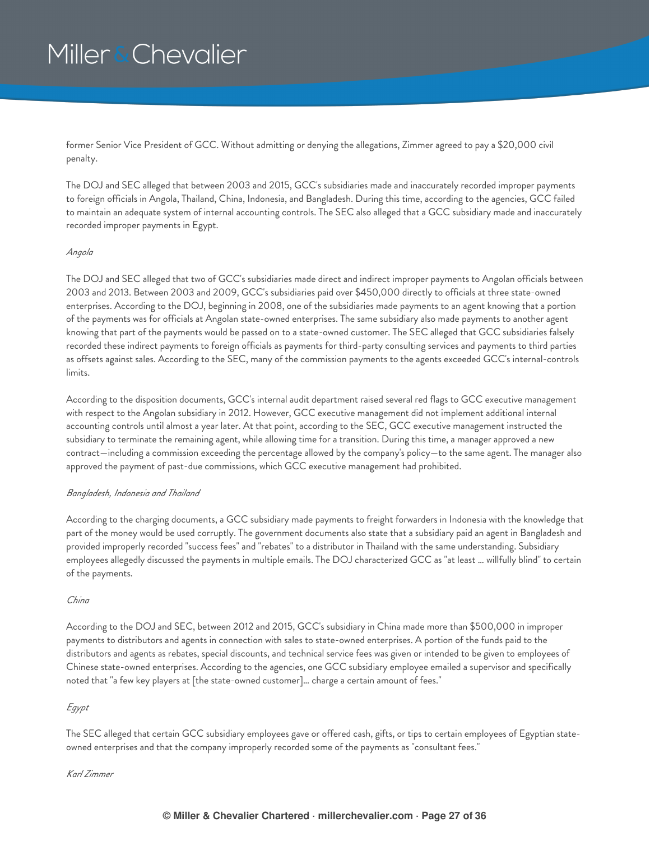former Senior Vice President of GCC. Without admitting or denying the allegations, Zimmer agreed to pay a \$20,000 civil penalty.

The DOJ and SEC alleged that between 2003 and 2015, GCC's subsidiaries made and inaccurately recorded improper payments to foreign officials in Angola, Thailand, China, Indonesia, and Bangladesh. During this time, according to the agencies, GCC failed to maintain an adequate system of internal accounting controls. The SEC also alleged that a GCC subsidiary made and inaccurately recorded improper payments in Egypt.

### *Angola*

The DOJ and SEC alleged that two of GCC's subsidiaries made direct and indirect improper payments to Angolan officials between 2003 and 2013. Between 2003 and 2009, GCC's subsidiaries paid over \$450,000 directly to officials at three state-owned enterprises. According to the DOJ, beginning in 2008, one of the subsidiaries made payments to an agent knowing that a portion of the payments was for officials at Angolan state-owned enterprises. The same subsidiary also made payments to another agent knowing that part of the payments would be passed on to a state-owned customer. The SEC alleged that GCC subsidiaries falsely recorded these indirect payments to foreign officials as payments for third-party consulting services and payments to third parties as offsets against sales. According to the SEC, many of the commission payments to the agents exceeded GCC's internal-controls limits.

According to the disposition documents, GCC's internal audit department raised several red flags to GCC executive management with respect to the Angolan subsidiary in 2012. However, GCC executive management did not implement additional internal accounting controls until almost a year later. At that point, according to the SEC, GCC executive management instructed the subsidiary to terminate the remaining agent, while allowing time for a transition. During this time, a manager approved a new contract—including a commission exceeding the percentage allowed by the company's policy—to the same agent. The manager also approved the payment of past-due commissions, which GCC executive management had prohibited.

### *Bangladesh, Indonesia and Thailand*

According to the charging documents, a GCC subsidiary made payments to freight forwarders in Indonesia with the knowledge that part of the money would be used corruptly. The government documents also state that a subsidiary paid an agent in Bangladesh and provided improperly recorded "success fees" and "rebates" to a distributor in Thailand with the same understanding. Subsidiary employees allegedly discussed the payments in multiple emails. The DOJ characterized GCC as "at least … willfully blind" to certain of the payments.

### *China*

According to the DOJ and SEC, between 2012 and 2015, GCC's subsidiary in China made more than \$500,000 in improper payments to distributors and agents in connection with sales to state-owned enterprises. A portion of the funds paid to the distributors and agents as rebates, special discounts, and technical service fees was given or intended to be given to employees of Chinese state-owned enterprises. According to the agencies, one GCC subsidiary employee emailed a supervisor and specifically noted that "a few key players at [the state-owned customer]… charge a certain amount of fees."

### *Egypt*

The SEC alleged that certain GCC subsidiary employees gave or offered cash, gifts, or tips to certain employees of Egyptian stateowned enterprises and that the company improperly recorded some of the payments as "consultant fees."

### *Karl Zimmer*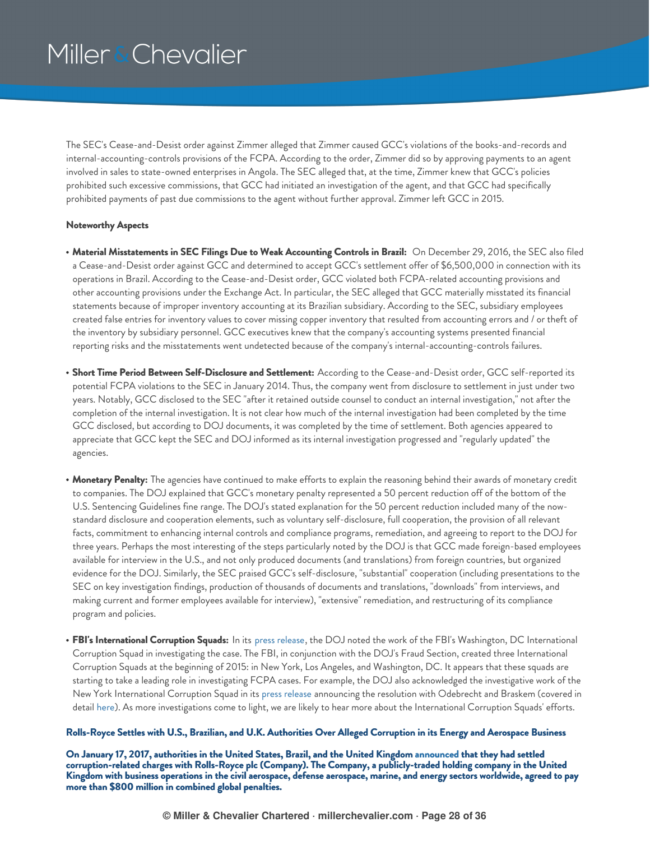The SEC's Cease-and-Desist order against Zimmer alleged that Zimmer caused GCC's violations of the books-and-records and internal-accounting-controls provisions of the FCPA. According to the order, Zimmer did so by approving payments to an agent involved in sales to state-owned enterprises in Angola. The SEC alleged that, at the time, Zimmer knew that GCC's policies prohibited such excessive commissions, that GCC had initiated an investigation of the agent, and that GCC had specifically prohibited payments of past due commissions to the agent without further approval. Zimmer left GCC in 2015.

#### **Noteworthy Aspects**

- **Material Misstatements in SEC Filings Due to Weak Accounting Controls in Brazil:** On December 29, 2016, the SEC also filed a Cease-and-Desist order against GCC and determined to accept GCC's settlement offer of \$6,500,000 in connection with its operations in Brazil. According to the Cease-and-Desist order, GCC violated both FCPA-related accounting provisions and other accounting provisions under the Exchange Act. In particular, the SEC alleged that GCC materially misstated its financial statements because of improper inventory accounting at its Brazilian subsidiary. According to the SEC, subsidiary employees created false entries for inventory values to cover missing copper inventory that resulted from accounting errors and / or theft of the inventory by subsidiary personnel. GCC executives knew that the company's accounting systems presented financial reporting risks and the misstatements went undetected because of the company's internal-accounting-controls failures.
- **Short Time Period Between Self-Disclosure and Settlement:** According to the Cease-and-Desist order, GCC self-reported its potential FCPA violations to the SEC in January 2014. Thus, the company went from disclosure to settlement in just under two years. Notably, GCC disclosed to the SEC "after it retained outside counsel to conduct an internal investigation," not after the completion of the internal investigation. It is not clear how much of the internal investigation had been completed by the time GCC disclosed, but according to DOJ documents, it was completed by the time of settlement. Both agencies appeared to appreciate that GCC kept the SEC and DOJ informed as its internal investigation progressed and "regularly updated" the agencies.
- **Monetary Penalty:** The agencies have continued to make efforts to explain the reasoning behind their awards of monetary credit to companies. The DOJ explained that GCC's monetary penalty represented a 50 percent reduction off of the bottom of the U.S. Sentencing Guidelines fine range. The DOJ's stated explanation for the 50 percent reduction included many of the nowstandard disclosure and cooperation elements, such as voluntary self-disclosure, full cooperation, the provision of all relevant facts, commitment to enhancing internal controls and compliance programs, remediation, and agreeing to report to the DOJ for three years. Perhaps the most interesting of the steps particularly noted by the DOJ is that GCC made foreign-based employees available for interview in the U.S., and not only produced documents (and translations) from foreign countries, but organized evidence for the DOJ. Similarly, the SEC praised GCC's self-disclosure, "substantial" cooperation (including presentations to the SEC on key investigation findings, production of thousands of documents and translations, "downloads" from interviews, and making current and former employees available for interview), "extensive" remediation, and restructuring of its compliance program and policies.
- **FBI's International Corruption Squads:** In its press [release](https://www.justice.gov/opa/pr/general-cable-corporation-agrees-pay-20-million-penalty-foreign-bribery-schemes-asia-and), the DOJ noted the work of the FBI's Washington, DC International Corruption Squad in investigating the case. The FBI, in conjunction with the DOJ's Fraud Section, created three International Corruption Squads at the beginning of 2015: in New York, Los Angeles, and Washington, DC. It appears that these squads are starting to take a leading role in investigating FCPA cases. For example, the DOJ also acknowledged the investigative work of the New York International Corruption Squad in its press [release](https://www.justice.gov/usao-edny/pr/odebrecht-and-braskem-plead-guilty-and-agree-pay-least-35-billion-global-criminal) announcing the resolution with Odebrecht and Braskem (covered in detail [here](#page-20-0)). As more investigations come to light, we are likely to hear more about the International Corruption Squads' efforts.

#### <span id="page-27-0"></span>Rolls-Royce Settles with U.S., Brazilian, and U.K. Authorities Over Alleged Corruption in its Energy and Aerospace Business

On January 17, 2017, authorities in the United States, Brazil, and the United Kingdom [announced](https://www.justice.gov/opa/pr/rolls-royce-plc-agrees-pay-170-million-criminal-penalty-resolve-foreign-corrupt-practices-act) that they had settled **corruption-related charges with Rolls-Royce plc (Company). The Company, a publicly-traded holding company in the United** Kingdom with business operations in the civil aerospace, defense aerospace, marine, and energy sectors worldwide, agreed to pay **more than \$800 million in combined global penalties.**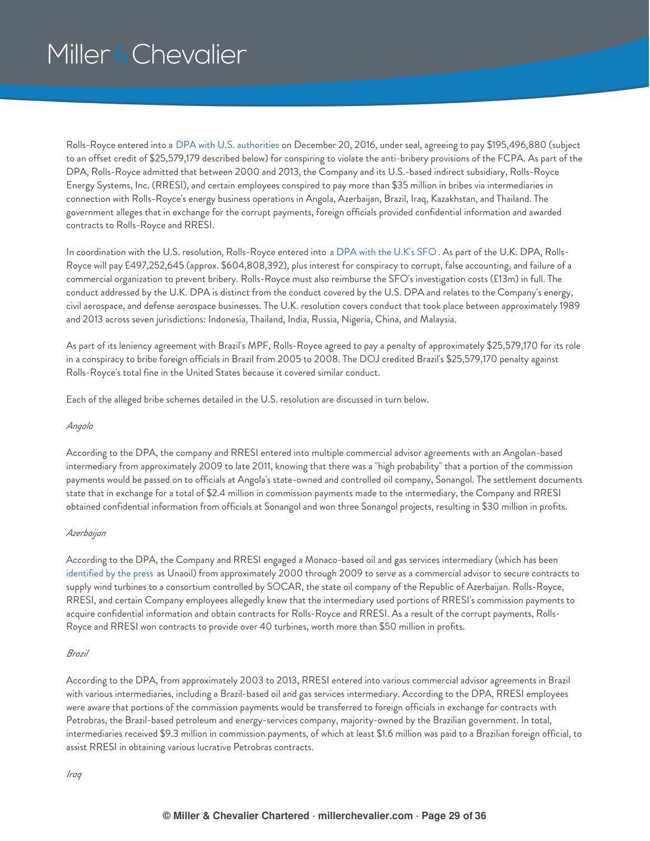Rolls-Royce entered into a DPA with U.S. [authorities](https://www.justice.gov/opa/press-release/file/927221/download) on December 20, 2016, under seal, agreeing to pay \$195,496,880 (subject to an offset credit of \$25,579,179 described below) for conspiring to violate the anti-bribery provisions of the FCPA. As part of the DPA, Rolls-Royce admitted that between 2000 and 2013, the Company and its U.S.-based indirect subsidiary, Rolls-Royce Energy Systems, Inc. (RRESI), and certain employees conspired to pay more than \$35 million in bribes via intermediaries in connection with Rolls-Royce's energy business operations in Angola, Azerbaijan, Brazil, Iraq, Kazakhstan, and Thailand. The government alleges that in exchange for the corrupt payments, foreign officials provided confidential information and awarded contracts to Rolls-Royce and RRESI.

In coordination with the U.S. resolution, Rolls-Royce entered into a DPA with the [U.K's](https://www.sfo.gov.uk/cases/rolls-royce-plc/) SFO. As part of the U.K. DPA, Rolls-Royce will pay £497,252,645 (approx. \$604,808,392), plus interest for conspiracy to corrupt, false accounting, and failure of a commercial organization to prevent bribery. Rolls-Royce must also reimburse the SFO's investigation costs (£13m) in full. The conduct addressed by the U.K. DPA is distinct from the conduct covered by the U.S. DPA and relates to the Company's energy, civil aerospace, and defense aerospace businesses. The U.K. resolution covers conduct that took place between approximately 1989 and 2013 across seven jurisdictions: Indonesia, Thailand, India, Russia, Nigeria, China, and Malaysia.

As part of its leniency agreement with Brazil's MPF, Rolls-Royce agreed to pay a penalty of approximately \$25,579,170 for its role in a conspiracy to bribe foreign officials in Brazil from 2005 to 2008. The DOJ credited Brazil's \$25,579,170 penalty against Rolls-Royce's total fine in the United States because it covered similar conduct.

Each of the alleged bribe schemes detailed in the U.S. resolution are discussed in turn below.

### *Angola*

According to the DPA, the company and RRESI entered into multiple commercial advisor agreements with an Angolan-based intermediary from approximately 2009 to late 2011, knowing that there was a "high probability" that a portion of the commission payments would be passed on to officials at Angola's state-owned and controlled oil company, Sonangol. The settlement documents state that in exchange for a total of \$2.4 million in commission payments made to the intermediary, the Company and RRESI obtained confidential information from officials at Sonangol and won three Sonangol projects, resulting in \$30 million in profits.

### *Azerbaijan*

According to the DPA, the Company and RRESI engaged a Monaco-based oil and gas services intermediary (which has been [identified](http://www.smh.com.au/national/investigations/rolls-royce-fined-11b-after-fairfax-unaoil-expose-20170117-gttiju.html) by the press as Unaoil) from approximately 2000 through 2009 to serve as a commercial advisor to secure contracts to supply wind turbines to a consortium controlled by SOCAR, the state oil company of the Republic of Azerbaijan. Rolls-Royce, RRESI, and certain Company employees allegedly knew that the intermediary used portions of RRESI's commission payments to acquire confidential information and obtain contracts for Rolls-Royce and RRESI. As a result of the corrupt payments, Rolls-Royce and RRESI won contracts to provide over 40 turbines, worth more than \$50 million in profits.

### *Brazil*

According to the DPA, from approximately 2003 to 2013, RRESI entered into various commercial advisor agreements in Brazil with various intermediaries, including a Brazil-based oil and gas services intermediary. According to the DPA, RRESI employees were aware that portions of the commission payments would be transferred to foreign officials in exchange for contracts with Petrobras, the Brazil-based petroleum and energy-services company, majority-owned by the Brazilian government. In total, intermediaries received \$9.3 million in commission payments, of which at least \$1.6 million was paid to a Brazilian foreign official, to assist RRESI in obtaining various lucrative Petrobras contracts.

*Iraq*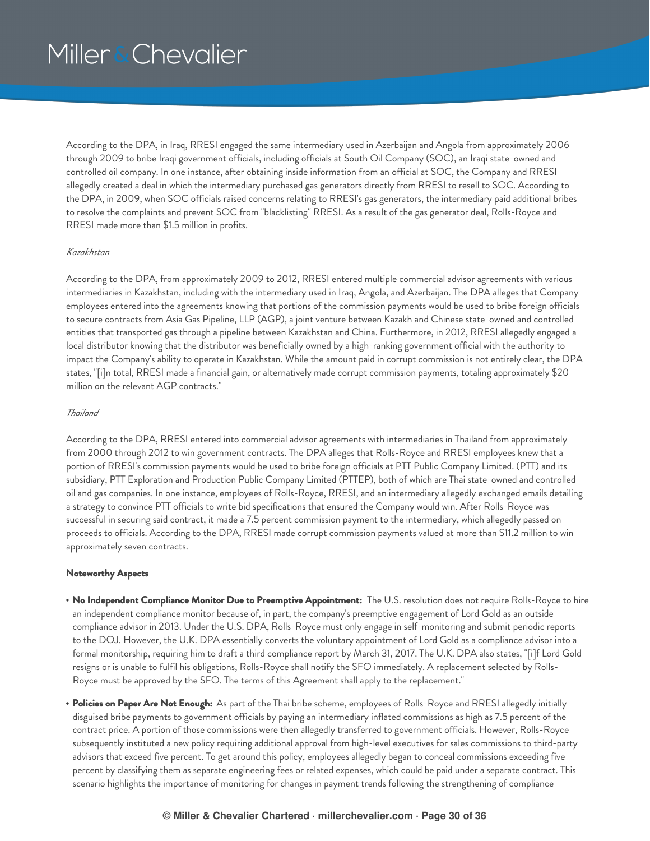According to the DPA, in Iraq, RRESI engaged the same intermediary used in Azerbaijan and Angola from approximately 2006 through 2009 to bribe Iraqi government officials, including officials at South Oil Company (SOC), an Iraqi state-owned and controlled oil company. In one instance, after obtaining inside information from an official at SOC, the Company and RRESI allegedly created a deal in which the intermediary purchased gas generators directly from RRESI to resell to SOC. According to the DPA, in 2009, when SOC officials raised concerns relating to RRESI's gas generators, the intermediary paid additional bribes to resolve the complaints and prevent SOC from "blacklisting" RRESI. As a result of the gas generator deal, Rolls-Royce and RRESI made more than \$1.5 million in profits.

### *Kazakhstan*

According to the DPA, from approximately 2009 to 2012, RRESI entered multiple commercial advisor agreements with various intermediaries in Kazakhstan, including with the intermediary used in Iraq, Angola, and Azerbaijan. The DPA alleges that Company employees entered into the agreements knowing that portions of the commission payments would be used to bribe foreign officials to secure contracts from Asia Gas Pipeline, LLP (AGP), a joint venture between Kazakh and Chinese state-owned and controlled entities that transported gas through a pipeline between Kazakhstan and China. Furthermore, in 2012, RRESI allegedly engaged a local distributor knowing that the distributor was beneficially owned by a high-ranking government official with the authority to impact the Company's ability to operate in Kazakhstan. While the amount paid in corrupt commission is not entirely clear, the DPA states, "[i]n total, RRESI made a financial gain, or alternatively made corrupt commission payments, totaling approximately \$20 million on the relevant AGP contracts."

### *Thailand*

According to the DPA, RRESI entered into commercial advisor agreements with intermediaries in Thailand from approximately from 2000 through 2012 to win government contracts. The DPA alleges that Rolls-Royce and RRESI employees knew that a portion of RRESI's commission payments would be used to bribe foreign officials at PTT Public Company Limited. (PTT) and its subsidiary, PTT Exploration and Production Public Company Limited (PTTEP), both of which are Thai state-owned and controlled oil and gas companies. In one instance, employees of Rolls-Royce, RRESI, and an intermediary allegedly exchanged emails detailing a strategy to convince PTT officials to write bid specifications that ensured the Company would win. After Rolls-Royce was successful in securing said contract, it made a 7.5 percent commission payment to the intermediary, which allegedly passed on proceeds to officials. According to the DPA, RRESI made corrupt commission payments valued at more than \$11.2 million to win approximately seven contracts.

### **Noteworthy Aspects**

- **No Independent Compliance Monitor Due to Preemptive Appointment:** The U.S. resolution does not require Rolls-Royce to hire an independent compliance monitor because of, in part, the company's preemptive engagement of Lord Gold as an outside compliance advisor in 2013. Under the U.S. DPA, Rolls-Royce must only engage in self-monitoring and submit periodic reports to the DOJ. However, the U.K. DPA essentially converts the voluntary appointment of Lord Gold as a compliance advisor into a formal monitorship, requiring him to draft a third compliance report by March 31, 2017. The U.K. DPA also states, "[i]f Lord Gold resigns or is unable to fulfil his obligations, Rolls-Royce shall notify the SFO immediately. A replacement selected by Rolls-Royce must be approved by the SFO. The terms of this Agreement shall apply to the replacement."
- **Policies on Paper Are Not Enough:** As part of the Thai bribe scheme, employees of Rolls-Royce and RRESI allegedly initially disguised bribe payments to government officials by paying an intermediary inflated commissions as high as 7.5 percent of the contract price. A portion of those commissions were then allegedly transferred to government officials. However, Rolls-Royce subsequently instituted a new policy requiring additional approval from high-level executives for sales commissions to third-party advisors that exceed five percent. To get around this policy, employees allegedly began to conceal commissions exceeding five percent by classifying them as separate engineering fees or related expenses, which could be paid under a separate contract. This scenario highlights the importance of monitoring for changes in payment trends following the strengthening of compliance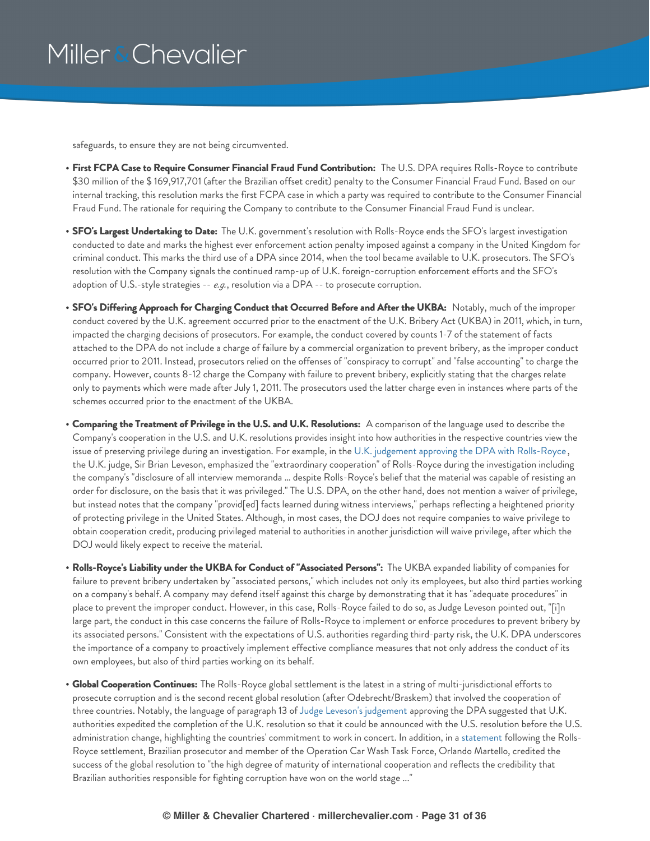safeguards, to ensure they are not being circumvented.

- **First FCPA Case to Require Consumer Financial Fraud Fund Contribution:** The U.S. DPA requires Rolls-Royce to contribute \$30 million of the \$ 169,917,701 (after the Brazilian offset credit) penalty to the Consumer Financial Fraud Fund. Based on our internal tracking, this resolution marks the first FCPA case in which a party was required to contribute to the Consumer Financial Fraud Fund. The rationale for requiring the Company to contribute to the Consumer Financial Fraud Fund is unclear.
- **SFO's Largest Undertaking to Date:** The U.K. government's resolution with Rolls-Royce ends the SFO's largest investigation conducted to date and marks the highest ever enforcement action penalty imposed against a company in the United Kingdom for criminal conduct. This marks the third use of a DPA since 2014, when the tool became available to U.K. prosecutors. The SFO's resolution with the Company signals the continued ramp-up of U.K. foreign-corruption enforcement efforts and the SFO's adoption of U.S.-style strategies -- *e.g.*, resolution via a DPA -- to prosecute corruption.
- **SFO's Differing Approach for Charging Conduct that Occurred Before and After the UKBA:** Notably, much of the improper conduct covered by the U.K. agreement occurred prior to the enactment of the U.K. Bribery Act (UKBA) in 2011, which, in turn, impacted the charging decisions of prosecutors. For example, the conduct covered by counts 1-7 of the statement of facts attached to the DPA do not include a charge of failure by a commercial organization to prevent bribery, as the improper conduct occurred prior to 2011. Instead, prosecutors relied on the offenses of "conspiracy to corrupt" and "false accounting" to charge the company. However, counts 8-12 charge the Company with failure to prevent bribery, explicitly stating that the charges relate only to payments which were made after July 1, 2011. The prosecutors used the latter charge even in instances where parts of the schemes occurred prior to the enactment of the UKBA.
- **Comparing the Treatment of Privilege in the U.S. and U.K. Resolutions:** A comparison of the language used to describe the Company's cooperation in the U.S. and U.K. resolutions provides insight into how authorities in the respective countries view the issue of preserving privilege during an investigation. For example, in the U.K. judgement approving the DPA with [Rolls-Royce](https://www.judiciary.gov.uk/wp-content/uploads/2017/01/sfo-v-rolls-royce.pdf) , the U.K. judge, Sir Brian Leveson, emphasized the "extraordinary cooperation" of Rolls-Royce during the investigation including the company's "disclosure of all interview memoranda … despite Rolls-Royce's belief that the material was capable of resisting an order for disclosure, on the basis that it was privileged." The U.S. DPA, on the other hand, does not mention a waiver of privilege, but instead notes that the company "provid[ed] facts learned during witness interviews," perhaps reflecting a heightened priority of protecting privilege in the United States. Although, in most cases, the DOJ does not require companies to waive privilege to obtain cooperation credit, producing privileged material to authorities in another jurisdiction will waive privilege, after which the DOJ would likely expect to receive the material.
- **Rolls-Royce's Liability under the UKBA for Conduct of "Associated Persons":** The UKBA expanded liability of companies for failure to prevent bribery undertaken by "associated persons," which includes not only its employees, but also third parties working on a company's behalf. A company may defend itself against this charge by demonstrating that it has "adequate procedures" in place to prevent the improper conduct. However, in this case, Rolls-Royce failed to do so, as Judge Leveson pointed out, "[i]n large part, the conduct in this case concerns the failure of Rolls-Royce to implement or enforce procedures to prevent bribery by its associated persons." Consistent with the expectations of U.S. authorities regarding third-party risk, the U.K. DPA underscores the importance of a company to proactively implement effective compliance measures that not only address the conduct of its own employees, but also of third parties working on its behalf.
- **Global Cooperation Continues:** The Rolls-Royce global settlement is the latest in a string of multi-jurisdictional efforts to prosecute corruption and is the second recent global resolution (after Odebrecht/Braskem) that involved the cooperation of three countries. Notably, the language of paragraph 13 of Judge Leveson's [judgement](https://www.judiciary.gov.uk/wp-content/uploads/2017/01/sfo-v-rolls-royce.pdf) approving the DPA suggested that U.K. authorities expedited the completion of the U.K. resolution so that it could be announced with the U.S. resolution before the U.S. administration change, highlighting the countries' commitment to work in concert. In addition, in a [statement](http://www.mpf.mp.br/pr/sala-de-imprensa/noticias-pr/mpf-firma-acordo-de-leniencia-com-rolls-royce) following the Rolls-Royce settlement, Brazilian prosecutor and member of the Operation Car Wash Task Force, Orlando Martello, credited the success of the global resolution to "the high degree of maturity of international cooperation and reflects the credibility that Brazilian authorities responsible for fighting corruption have won on the world stage ..."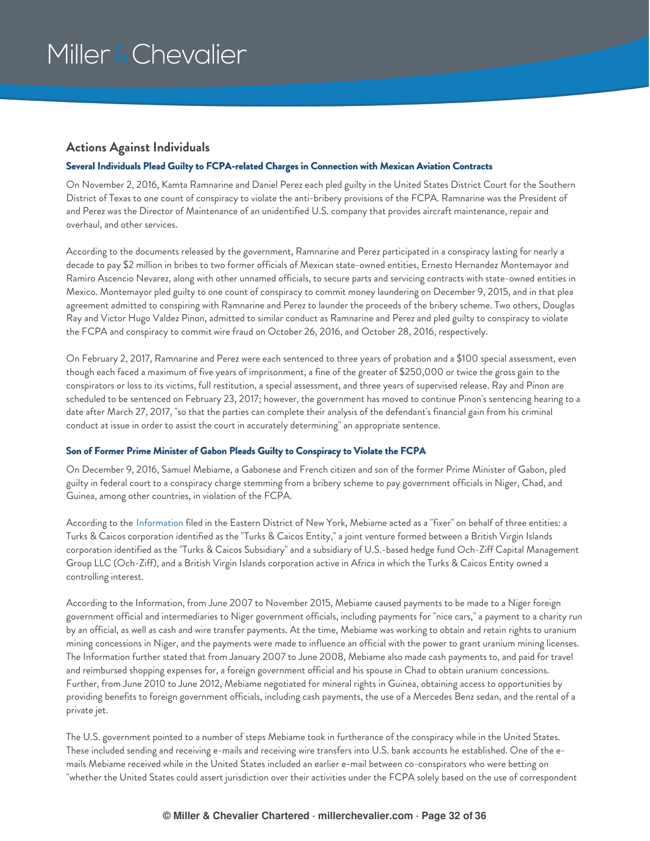### <span id="page-31-0"></span>**Actions Against Individuals**

### <span id="page-31-1"></span>**Several Individuals Plead Guilty to FCPA-related Charges in Connection with Mexican Aviation Contracts**

On November 2, 2016, Kamta Ramnarine and Daniel Perez each pled guilty in the United States District Court for the Southern District of Texas to one count of conspiracy to violate the anti-bribery provisions of the FCPA. Ramnarine was the President of and Perez was the Director of Maintenance of an unidentified U.S. company that provides aircraft maintenance, repair and overhaul, and other services.

According to the documents released by the government, Ramnarine and Perez participated in a conspiracy lasting for nearly a decade to pay \$2 million in bribes to two former officials of Mexican state-owned entities, Ernesto Hernandez Montemayor and Ramiro Ascencio Nevarez, along with other unnamed officials, to secure parts and servicing contracts with state-owned entities in Mexico. Montemayor pled guilty to one count of conspiracy to commit money laundering on December 9, 2015, and in that plea agreement admitted to conspiring with Ramnarine and Perez to launder the proceeds of the bribery scheme. Two others, Douglas Ray and Victor Hugo Valdez Pinon, admitted to similar conduct as Ramnarine and Perez and pled guilty to conspiracy to violate the FCPA and conspiracy to commit wire fraud on October 26, 2016, and October 28, 2016, respectively.

On February 2, 2017, Ramnarine and Perez were each sentenced to three years of probation and a \$100 special assessment, even though each faced a maximum of five years of imprisonment, a fine of the greater of \$250,000 or twice the gross gain to the conspirators or loss to its victims, full restitution, a special assessment, and three years of supervised release. Ray and Pinon are scheduled to be sentenced on February 23, 2017; however, the government has moved to continue Pinon's sentencing hearing to a date after March 27, 2017, "so that the parties can complete their analysis of the defendant's financial gain from his criminal conduct at issue in order to assist the court in accurately determining" an appropriate sentence.

### <span id="page-31-2"></span>**Son of Former Prime Minister of Gabon Pleads Guilty to Conspiracy to Violate the FCPA**

On December 9, 2016, Samuel Mebiame, a Gabonese and French citizen and son of the former Prime Minister of Gabon, pled guilty in federal court to a conspiracy charge stemming from a bribery scheme to pay government officials in Niger, Chad, and Guinea, among other countries, in violation of the FCPA.

According to the [Information](https://www.justice.gov/opa/press-release/file/917331/download) filed in the Eastern District of New York, Mebiame acted as a "fixer" on behalf of three entities: a Turks & Caicos corporation identified as the "Turks & Caicos Entity," a joint venture formed between a British Virgin Islands corporation identified as the "Turks & Caicos Subsidiary" and a subsidiary of U.S.-based hedge fund Och-Ziff Capital Management Group LLC (Och-Ziff), and a British Virgin Islands corporation active in Africa in which the Turks & Caicos Entity owned a controlling interest.

According to the Information, from June 2007 to November 2015, Mebiame caused payments to be made to a Niger foreign government official and intermediaries to Niger government officials, including payments for "nice cars," a payment to a charity run by an official, as well as cash and wire transfer payments. At the time, Mebiame was working to obtain and retain rights to uranium mining concessions in Niger, and the payments were made to influence an official with the power to grant uranium mining licenses. The Information further stated that from January 2007 to June 2008, Mebiame also made cash payments to, and paid for travel and reimbursed shopping expenses for, a foreign government official and his spouse in Chad to obtain uranium concessions. Further, from June 2010 to June 2012, Mebiame negotiated for mineral rights in Guinea, obtaining access to opportunities by providing benefits to foreign government officials, including cash payments, the use of a Mercedes Benz sedan, and the rental of a private jet.

The U.S. government pointed to a number of steps Mebiame took in furtherance of the conspiracy while in the United States. These included sending and receiving e-mails and receiving wire transfers into U.S. bank accounts he established. One of the emails Mebiame received while in the United States included an earlier e-mail between co-conspirators who were betting on "whether the United States could assert jurisdiction over their activities under the FCPA solely based on the use of correspondent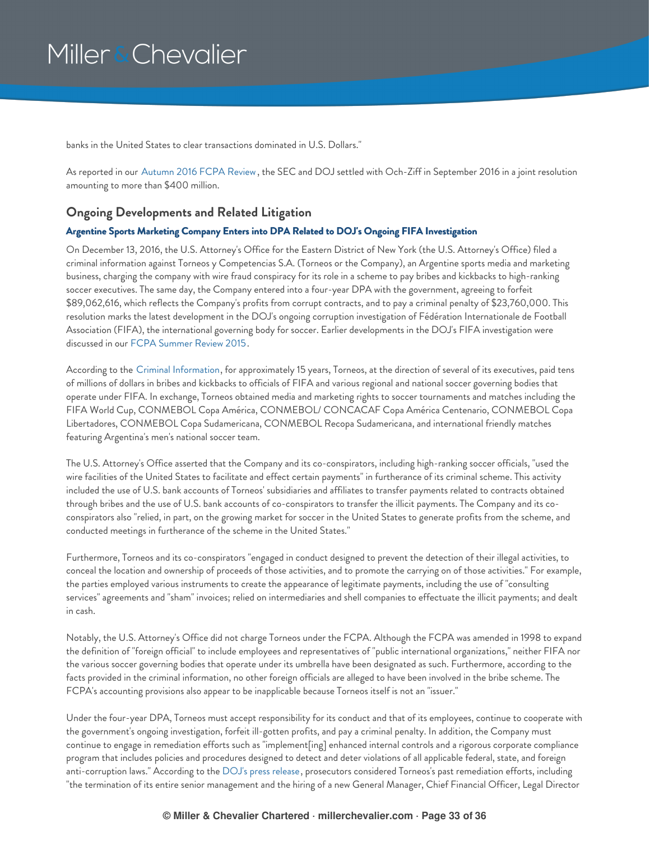banks in the United States to clear transactions dominated in U.S. Dollars."

As reported in our [Autumn](https://www.millerchevalier.com/node/15563) 2016 FCPA Review, the SEC and DOJ settled with Och-Ziff in September 2016 in a joint resolution amounting to more than \$400 million.

### <span id="page-32-0"></span>**Ongoing Developments and Related Litigation**

### <span id="page-32-1"></span>**Argentine Sports Marketing Company Enters into DPA Related to DOJ's Ongoing FIFA Investigation**

On December 13, 2016, the U.S. Attorney's Office for the Eastern District of New York (the U.S. Attorney's Office) filed a criminal information against Torneos y Competencias S.A. (Torneos or the Company), an Argentine sports media and marketing business, charging the company with wire fraud conspiracy for its role in a scheme to pay bribes and kickbacks to high-ranking soccer executives. The same day, the Company entered into a four-year DPA with the government, agreeing to forfeit \$89,062,616, which reflects the Company's profits from corrupt contracts, and to pay a criminal penalty of \$23,760,000. This resolution marks the latest development in the DOJ's ongoing corruption investigation of Fédération Internationale de Football Association (FIFA), the international governing body for soccer. Earlier developments in the DOJ's FIFA investigation were discussed in our FCPA [Summer](https://www.millerchevalier.com/node/15513#FIFA) Review 2015.

According to the Criminal [Information](https://www.millerchevalier.com/sites/default/files/resources/FCPAReview/FCPAReviewWinter2017_TorneosYCompetenciasDOJInformation.pdf), for approximately 15 years, Torneos, at the direction of several of its executives, paid tens of millions of dollars in bribes and kickbacks to officials of FIFA and various regional and national soccer governing bodies that operate under FIFA. In exchange, Torneos obtained media and marketing rights to soccer tournaments and matches including the FIFA World Cup, CONMEBOL Copa América, CONMEBOL/ CONCACAF Copa América Centenario, CONMEBOL Copa Libertadores, CONMEBOL Copa Sudamericana, CONMEBOL Recopa Sudamericana, and international friendly matches featuring Argentina's men's national soccer team.

The U.S. Attorney's Office asserted that the Company and its co-conspirators, including high-ranking soccer officials, "used the wire facilities of the United States to facilitate and effect certain payments" in furtherance of its criminal scheme. This activity included the use of U.S. bank accounts of Torneos' subsidiaries and affiliates to transfer payments related to contracts obtained through bribes and the use of U.S. bank accounts of co-conspirators to transfer the illicit payments. The Company and its coconspirators also "relied, in part, on the growing market for soccer in the United States to generate profits from the scheme, and conducted meetings in furtherance of the scheme in the United States."

Furthermore, Torneos and its co-conspirators "engaged in conduct designed to prevent the detection of their illegal activities, to conceal the location and ownership of proceeds of those activities, and to promote the carrying on of those activities." For example, the parties employed various instruments to create the appearance of legitimate payments, including the use of "consulting services" agreements and "sham" invoices; relied on intermediaries and shell companies to effectuate the illicit payments; and dealt in cash.

Notably, the U.S. Attorney's Office did not charge Torneos under the FCPA. Although the FCPA was amended in 1998 to expand the definition of "foreign official" to include employees and representatives of "public international organizations," neither FIFA nor the various soccer governing bodies that operate under its umbrella have been designated as such. Furthermore, according to the facts provided in the criminal information, no other foreign officials are alleged to have been involved in the bribe scheme. The FCPA's accounting provisions also appear to be inapplicable because Torneos itself is not an "issuer."

Under the four-year DPA, Torneos must accept responsibility for its conduct and that of its employees, continue to cooperate with the government's ongoing investigation, forfeit ill-gotten profits, and pay a criminal penalty. In addition, the Company must continue to engage in remediation efforts such as "implement[ing] enhanced internal controls and a rigorous corporate compliance program that includes policies and procedures designed to detect and deter violations of all applicable federal, state, and foreign anti-corruption laws." According to the DOJ's press [release](https://www.justice.gov/usao-edny/pr/argentine-sports-marketing-company-admits-role-international-soccer-bribery-conspiracy), prosecutors considered Torneos's past remediation efforts, including "the termination of its entire senior management and the hiring of a new General Manager, Chief Financial Officer, Legal Director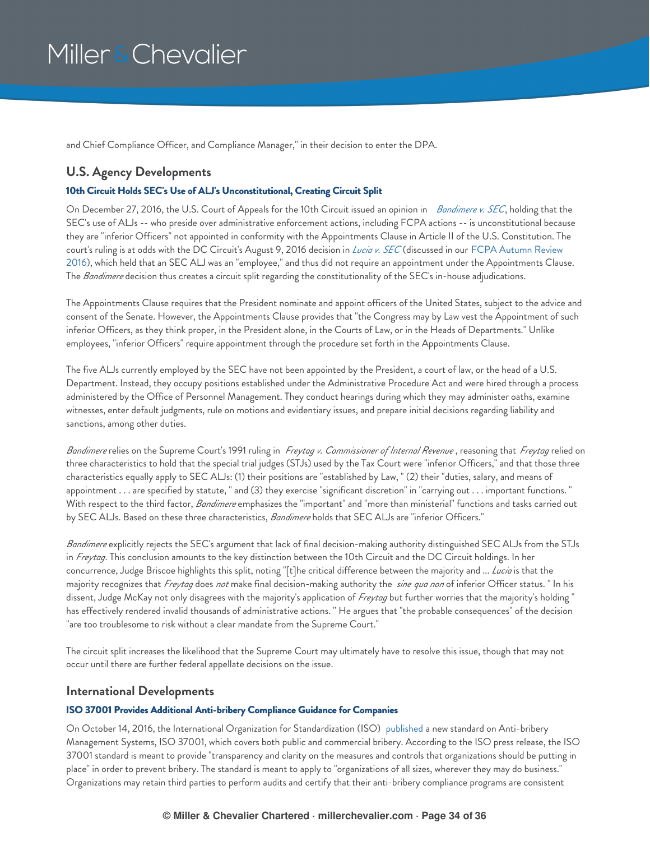and Chief Compliance Officer, and Compliance Manager," in their decision to enter the DPA.

### <span id="page-33-0"></span>**U.S. Agency Developments**

### <span id="page-33-1"></span>**10th Circuit Holds SEC's Use of ALJ's Unconstitutional, Creating Circuit Split**

On December 27, 2016, the U.S. Court of Appeals for the 10th Circuit issued an opinion in *[Bandimere](http://www.ca10.uscourts.gov/opinions/15/15-9586.pdf) v. SEC*, holding that the SEC's use of ALJs -- who preside over administrative enforcement actions, including FCPA actions -- is unconstitutional because they are "inferior Officers" not appointed in conformity with the Appointments Clause in Article II of the U.S. Constitution. The court's ruling is at odds with the DC Circuit's August 9, 2016 decision in *[Lucia](https://www.cadc.uscourts.gov/internet/opinions.nsf/734145190388E52D8525800A004F00CF/$file/15-1345-1629279.pdf) v. SEC* (discussed in our FCPA Autumn Review 2016), which held that an SEC ALJ was an "employee," and thus did not require an appointment under the [Appointments](https://www.millerchevalier.com/node/15563#SECRules) Clause. The *Bandimere* decision thus creates a circuit split regarding the constitutionality of the SEC's in-house adjudications.

The Appointments Clause requires that the President nominate and appoint officers of the United States, subject to the advice and consent of the Senate. However, the Appointments Clause provides that "the Congress may by Law vest the Appointment of such inferior Officers, as they think proper, in the President alone, in the Courts of Law, or in the Heads of Departments." Unlike employees, "inferior Officers" require appointment through the procedure set forth in the Appointments Clause.

The five ALJs currently employed by the SEC have not been appointed by the President, a court of law, or the head of a U.S. Department. Instead, they occupy positions established under the Administrative Procedure Act and were hired through a process administered by the Office of Personnel Management. They conduct hearings during which they may administer oaths, examine witnesses, enter default judgments, rule on motions and evidentiary issues, and prepare initial decisions regarding liability and sanctions, among other duties.

*Bandimere* relies on the Supreme Court's 1991 ruling in *Freytag v. Commissioner of Internal Revenue* , reasoning that *Freytag* relied on three characteristics to hold that the special trial judges (STJs) used by the Tax Court were "inferior Officers," and that those three characteristics equally apply to SEC ALJs: (1) their positions are "established by Law, " (2) their "duties, salary, and means of appointment . . . are specified by statute, " and (3) they exercise "significant discretion" in "carrying out . . . important functions. " With respect to the third factor, *Bandimere* emphasizes the "important" and "more than ministerial" functions and tasks carried out by SEC ALJs. Based on these three characteristics, *Bandimere* holds that SEC ALJs are "inferior Officers."

*Bandimere* explicitly rejects the SEC's argument that lack of final decision-making authority distinguished SEC ALJs from the STJs in *Freytag*. This conclusion amounts to the key distinction between the 10th Circuit and the DC Circuit holdings. In her concurrence, Judge Briscoe highlights this split, noting "[t]he critical difference between the majority and ... *Lucia* is that the majority recognizes that *Freytag* does *not* make final decision-making authority the *sine qua non* of inferior Officer status. " In his dissent, Judge McKay not only disagrees with the majority's application of *Freytag* but further worries that the majority's holding " has effectively rendered invalid thousands of administrative actions. " He argues that "the probable consequences" of the decision "are too troublesome to risk without a clear mandate from the Supreme Court."

The circuit split increases the likelihood that the Supreme Court may ultimately have to resolve this issue, though that may not occur until there are further federal appellate decisions on the issue.

### <span id="page-33-2"></span>**International Developments**

### <span id="page-33-3"></span>**ISO 37001 Provides Additional Anti-bribery Compliance Guidance for Companies**

On October 14, 2016, the International Organization for Standardization (ISO) [published](http://www.iso.org/iso/home/news_index/news_archive/news.htm?refid=Ref2125) a new standard on Anti-bribery Management Systems, ISO 37001, which covers both public and commercial bribery. According to the ISO press release, the ISO 37001 standard is meant to provide "transparency and clarity on the measures and controls that organizations should be putting in place" in order to prevent bribery. The standard is meant to apply to "organizations of all sizes, wherever they may do business." Organizations may retain third parties to perform audits and certify that their anti-bribery compliance programs are consistent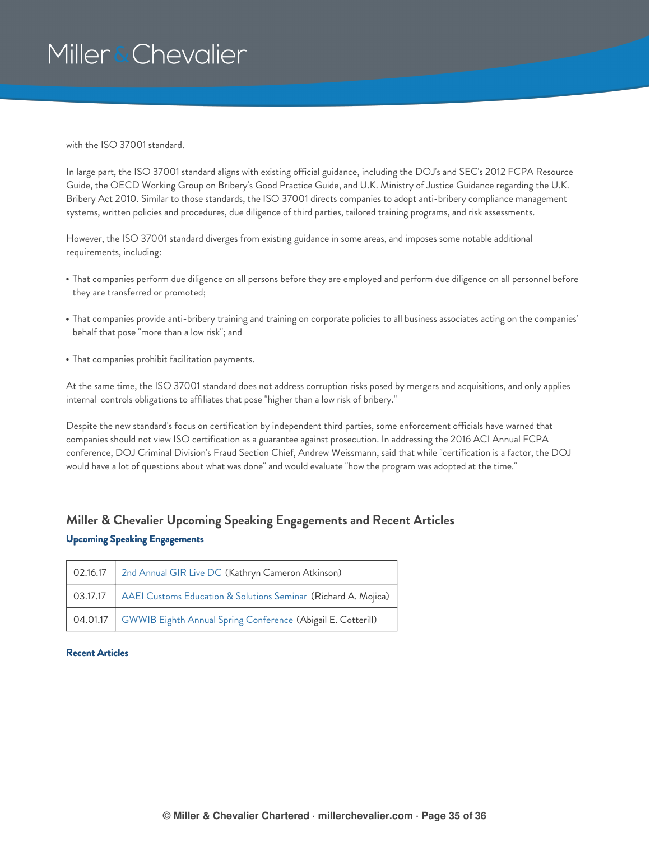with the ISO 37001 standard.

In large part, the ISO 37001 standard aligns with existing official guidance, including the DOJ's and SEC's 2012 FCPA Resource Guide, the OECD Working Group on Bribery's Good Practice Guide, and U.K. Ministry of Justice Guidance regarding the U.K. Bribery Act 2010. Similar to those standards, the ISO 37001 directs companies to adopt anti-bribery compliance management systems, written policies and procedures, due diligence of third parties, tailored training programs, and risk assessments.

However, the ISO 37001 standard diverges from existing guidance in some areas, and imposes some notable additional requirements, including:

- That companies perform due diligence on all persons before they are employed and perform due diligence on all personnel before they are transferred or promoted;
- That companies provide anti-bribery training and training on corporate policies to all business associates acting on the companies' behalf that pose "more than a low risk"; and
- That companies prohibit facilitation payments.

At the same time, the ISO 37001 standard does not address corruption risks posed by mergers and acquisitions, and only applies internal-controls obligations to affiliates that pose "higher than a low risk of bribery."

Despite the new standard's focus on certification by independent third parties, some enforcement officials have warned that companies should not view ISO certification as a guarantee against prosecution. In addressing the 2016 ACI Annual FCPA conference, DOJ Criminal Division's Fraud Section Chief, Andrew Weissmann, said that while "certification is a factor, the DOJ would have a lot of questions about what was done" and would evaluate "how the program was adopted at the time."

### <span id="page-34-0"></span>**Miller & Chevalier Upcoming Speaking Engagements and Recent Articles Upcoming Speaking Engagements**

| 02.16.17   2nd Annual GIR Live DC (Kathryn Cameron Atkinson)              |
|---------------------------------------------------------------------------|
| 03.17.17   AAEI Customs Education & Solutions Seminar (Richard A. Mojica) |
| 04.01.17   GWWIB Eighth Annual Spring Conference (Abigail E. Cotterill)   |

### **Recent Articles**